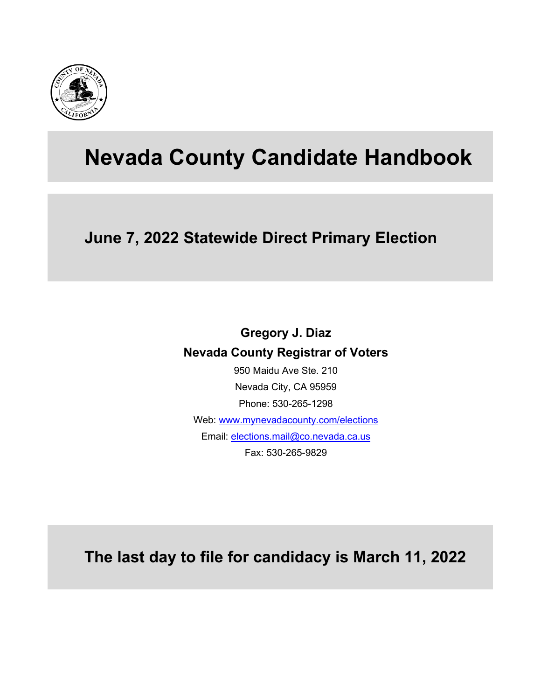

# **Nevada County Candidate Handbook**

## **June 7, 2022 Statewide Direct Primary Election**

## **Gregory J. Diaz Nevada County Registrar of Voters**

950 Maidu Ave Ste. 210 Nevada City, CA 95959 Phone: 530-265-1298 Web: [www.mynevadacounty.com/elections](http://www.mynevadacounty.com/elections) Email: [elections.mail@co.nevada.ca.us](mailto:elections.mail@co.nevada.ca.us) Fax: 530-265-9829

**The last day to file for candidacy is March 11, 2022**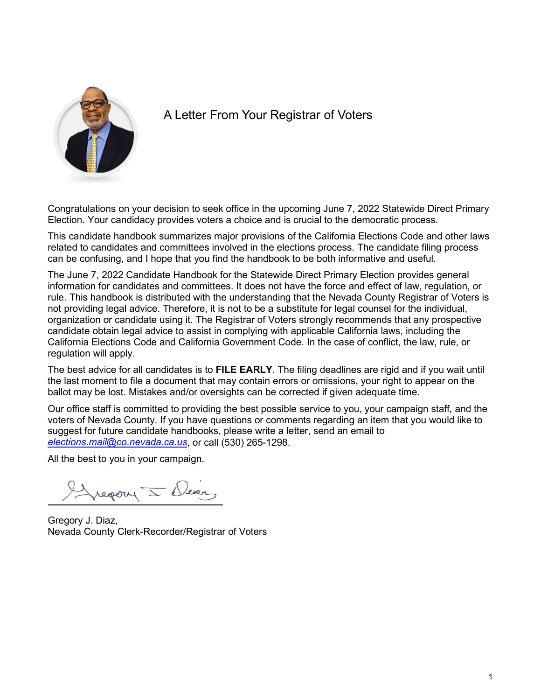

### A Letter From Your Registrar of Voters

Congratulations on your decision to seek office in the upcoming June 7, 2022 Statewide Direct Primary Election. Your candidacy provides voters a choice and is crucial to the democratic process.

This candidate handbook summarizes major provisions of the California Elections Code and other laws related to candidates and committees involved in the elections process. The candidate filing process can be confusing, and I hope that you find the handbook to be both informative and useful.

The June 7, 2022 Candidate Handbook for the Statewide Direct Primary Election provides general information for candidates and committees. It does not have the force and effect of law, regulation, or rule. This handbook is distributed with the understanding that the Nevada County Registrar of Voters is not providing legal advice. Therefore, it is not to be a substitute for legal counsel for the individual, organization or candidate using it. The Registrar of Voters strongly recommends that any prospective candidate obtain legal advice to assist in complying with applicable California laws, including the California Elections Code and California Government Code. In the case of conflict, the law, rule, or regulation will apply.

The best advice for all candidates is to **FILE EARLY**. The filing deadlines are rigid and if you wait until the last moment to file a document that may contain errors or omissions, your right to appear on the ballot may be lost. Mistakes and/or oversights can be corrected if given adequate time.

Our office staff is committed to providing the best possible service to you, your campaign staff, and the voters of Nevada County. If you have questions or comments regarding an item that you would like to suggest for future candidate handbooks, please write a letter, send an email to *[elections.mail@co.nevada.ca.us](mailto:elections.mail@co.nevada.ca.us)*, or call (530) 265-1298.

All the best to you in your campaign.

report I Dear

Gregory J. Diaz, Nevada County Clerk-Recorder/Registrar of Voters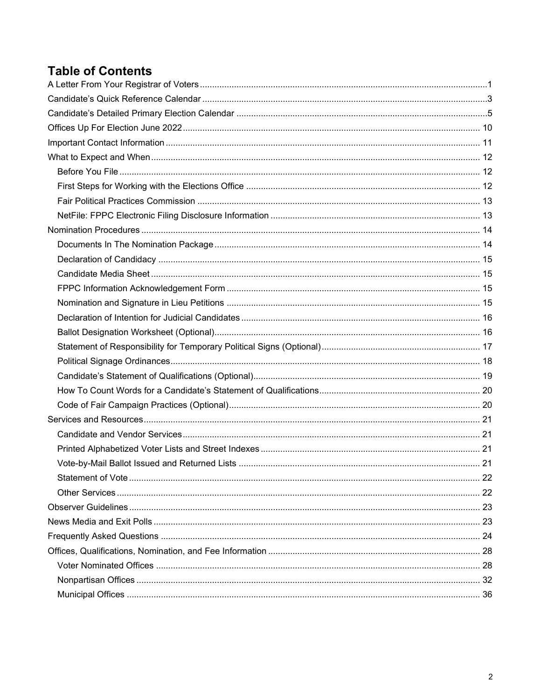### **Table of Contents**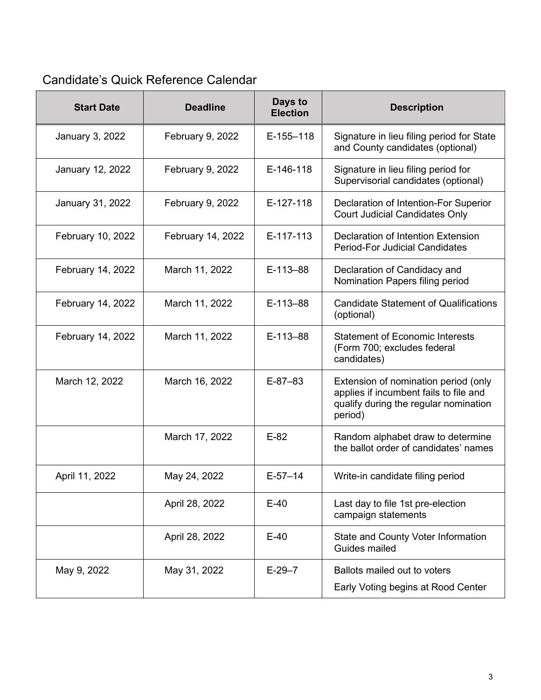## *CALENDAR OF IMPORTANT DATES* Candidate's Quick Reference Calendar

| <b>Start Date</b> | <b>Deadline</b>   | Days to<br><b>Election</b> | <b>Description</b>                                                                                                                 |
|-------------------|-------------------|----------------------------|------------------------------------------------------------------------------------------------------------------------------------|
| January 3, 2022   | February 9, 2022  | $E-155-118$                | Signature in lieu filing period for State<br>and County candidates (optional)                                                      |
| January 12, 2022  | February 9, 2022  | E-146-118                  | Signature in lieu filing period for<br>Supervisorial candidates (optional)                                                         |
| January 31, 2022  | February 9, 2022  | E-127-118                  | Declaration of Intention-For Superior<br><b>Court Judicial Candidates Only</b>                                                     |
| February 10, 2022 | February 14, 2022 | E-117-113                  | Declaration of Intention Extension<br><b>Period-For Judicial Candidates</b>                                                        |
| February 14, 2022 | March 11, 2022    | E-113-88                   | Declaration of Candidacy and<br>Nomination Papers filing period                                                                    |
| February 14, 2022 | March 11, 2022    | E-113-88                   | <b>Candidate Statement of Qualifications</b><br>(optional)                                                                         |
| February 14, 2022 | March 11, 2022    | $E-113-88$                 | <b>Statement of Economic Interests</b><br>(Form 700; excludes federal<br>candidates)                                               |
| March 12, 2022    | March 16, 2022    | $E-87-83$                  | Extension of nomination period (only<br>applies if incumbent fails to file and<br>qualify during the regular nomination<br>period) |
|                   | March 17, 2022    | $E-82$                     | Random alphabet draw to determine<br>the ballot order of candidates' names                                                         |
| April 11, 2022    | May 24, 2022      | $E-57-14$                  | Write-in candidate filing period                                                                                                   |
|                   | April 28, 2022    | $E-40$                     | Last day to file 1st pre-election<br>campaign statements                                                                           |
|                   | April 28, 2022    | $E-40$                     | State and County Voter Information<br>Guides mailed                                                                                |
| May 9, 2022       | May 31, 2022      | $E-29-7$                   | Ballots mailed out to voters<br>Early Voting begins at Rood Center                                                                 |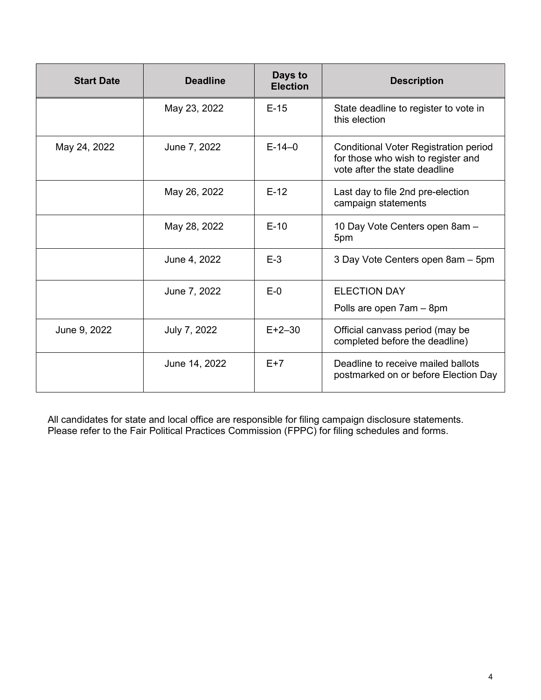| <b>Start Date</b> | <b>Deadline</b> | Days to<br><b>Election</b> | <b>Description</b>                                                                                                  |
|-------------------|-----------------|----------------------------|---------------------------------------------------------------------------------------------------------------------|
|                   | May 23, 2022    | $E-15$                     | State deadline to register to vote in<br>this election                                                              |
| May 24, 2022      | June 7, 2022    | $E-14-0$                   | <b>Conditional Voter Registration period</b><br>for those who wish to register and<br>vote after the state deadline |
|                   | May 26, 2022    | $E-12$                     | Last day to file 2nd pre-election<br>campaign statements                                                            |
|                   | May 28, 2022    | $E-10$                     | 10 Day Vote Centers open 8am -<br>5pm                                                                               |
|                   | June 4, 2022    | $E-3$                      | 3 Day Vote Centers open 8am - 5pm                                                                                   |
|                   | June 7, 2022    | $E-0$                      | <b>ELECTION DAY</b>                                                                                                 |
|                   |                 |                            | Polls are open 7am - 8pm                                                                                            |
| June 9, 2022      | July 7, 2022    | $E + 2 - 30$               | Official canvass period (may be<br>completed before the deadline)                                                   |
|                   | June 14, 2022   | $F+7$                      | Deadline to receive mailed ballots<br>postmarked on or before Election Day                                          |

All candidates for state and local office are responsible for filing campaign disclosure statements. Please refer to the Fair Political Practices Commission (FPPC) for filing schedules and forms.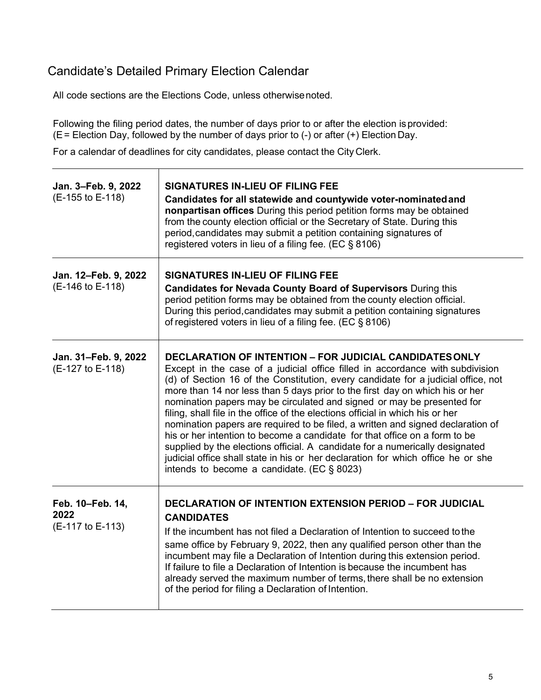### <span id="page-5-0"></span>Candidate's Detailed Primary Election Calendar

 $\top$ 

All code sections are the Elections Code, unless otherwisenoted.

Following the filing period dates, the number of days prior to or after the election isprovided: (E= Election Day, followed by the number of days prior to (-) or after (+) Election Day.

For a calendar of deadlines for city candidates, please contact the City Clerk.

| Jan. 3-Feb. 9, 2022<br>(E-155 to E-118)      | <b>SIGNATURES IN-LIEU OF FILING FEE</b><br>Candidates for all statewide and countywide voter-nominated and<br>nonpartisan offices During this period petition forms may be obtained<br>from the county election official or the Secretary of State. During this<br>period, candidates may submit a petition containing signatures of<br>registered voters in lieu of a filing fee. (EC § 8106)                                                                                                                                                                                                                                                                                                                                                                                                                                                                         |
|----------------------------------------------|------------------------------------------------------------------------------------------------------------------------------------------------------------------------------------------------------------------------------------------------------------------------------------------------------------------------------------------------------------------------------------------------------------------------------------------------------------------------------------------------------------------------------------------------------------------------------------------------------------------------------------------------------------------------------------------------------------------------------------------------------------------------------------------------------------------------------------------------------------------------|
| Jan. 12-Feb. 9, 2022<br>(E-146 to E-118)     | <b>SIGNATURES IN-LIEU OF FILING FEE</b><br><b>Candidates for Nevada County Board of Supervisors During this</b><br>period petition forms may be obtained from the county election official.<br>During this period, candidates may submit a petition containing signatures<br>of registered voters in lieu of a filing fee. (EC § 8106)                                                                                                                                                                                                                                                                                                                                                                                                                                                                                                                                 |
| Jan. 31-Feb. 9, 2022<br>(E-127 to E-118)     | <b>DECLARATION OF INTENTION - FOR JUDICIAL CANDIDATES ONLY</b><br>Except in the case of a judicial office filled in accordance with subdivision<br>(d) of Section 16 of the Constitution, every candidate for a judicial office, not<br>more than 14 nor less than 5 days prior to the first day on which his or her<br>nomination papers may be circulated and signed or may be presented for<br>filing, shall file in the office of the elections official in which his or her<br>nomination papers are required to be filed, a written and signed declaration of<br>his or her intention to become a candidate for that office on a form to be<br>supplied by the elections official. A candidate for a numerically designated<br>judicial office shall state in his or her declaration for which office he or she<br>intends to become a candidate. (EC $\S$ 8023) |
| Feb. 10-Feb. 14,<br>2022<br>(E-117 to E-113) | <b>DECLARATION OF INTENTION EXTENSION PERIOD - FOR JUDICIAL</b><br><b>CANDIDATES</b><br>If the incumbent has not filed a Declaration of Intention to succeed to the<br>same office by February 9, 2022, then any qualified person other than the<br>incumbent may file a Declaration of Intention during this extension period.<br>If failure to file a Declaration of Intention is because the incumbent has<br>already served the maximum number of terms, there shall be no extension<br>of the period for filing a Declaration of Intention.                                                                                                                                                                                                                                                                                                                       |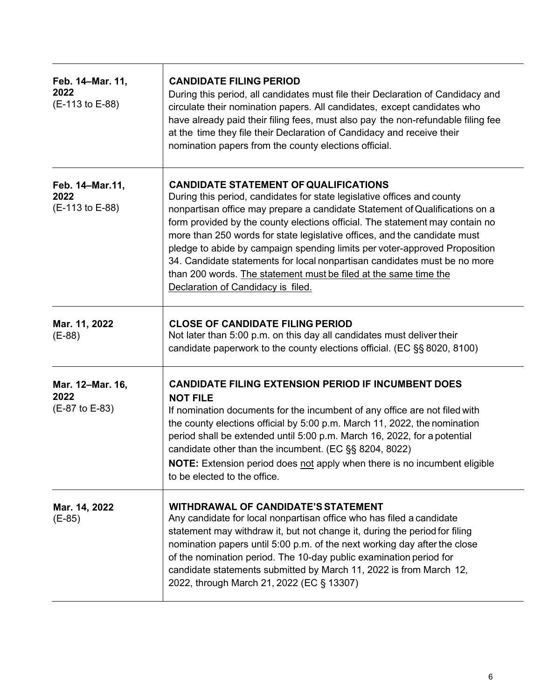| Feb. 14–Mar. 11,<br>2022<br>(E-113 to E-88) | <b>CANDIDATE FILING PERIOD</b><br>During this period, all candidates must file their Declaration of Candidacy and<br>circulate their nomination papers. All candidates, except candidates who<br>have already paid their filing fees, must also pay the non-refundable filing fee<br>at the time they file their Declaration of Candidacy and receive their<br>nomination papers from the county elections official.                                                                                                                                                                                                                     |
|---------------------------------------------|------------------------------------------------------------------------------------------------------------------------------------------------------------------------------------------------------------------------------------------------------------------------------------------------------------------------------------------------------------------------------------------------------------------------------------------------------------------------------------------------------------------------------------------------------------------------------------------------------------------------------------------|
| Feb. 14-Mar.11,<br>2022<br>(E-113 to E-88)  | <b>CANDIDATE STATEMENT OF QUALIFICATIONS</b><br>During this period, candidates for state legislative offices and county<br>nonpartisan office may prepare a candidate Statement of Qualifications on a<br>form provided by the county elections official. The statement may contain no<br>more than 250 words for state legislative offices, and the candidate must<br>pledge to abide by campaign spending limits per voter-approved Proposition<br>34. Candidate statements for local nonpartisan candidates must be no more<br>than 200 words. The statement must be filed at the same time the<br>Declaration of Candidacy is filed. |
| Mar. 11, 2022<br>$(E-88)$                   | <b>CLOSE OF CANDIDATE FILING PERIOD</b><br>Not later than 5:00 p.m. on this day all candidates must deliver their<br>candidate paperwork to the county elections official. (EC §§ 8020, 8100)                                                                                                                                                                                                                                                                                                                                                                                                                                            |
| Mar. 12-Mar. 16,<br>2022<br>(E-87 to E-83)  | <b>CANDIDATE FILING EXTENSION PERIOD IF INCUMBENT DOES</b><br><b>NOT FILE</b><br>If nomination documents for the incumbent of any office are not filed with<br>the county elections official by 5:00 p.m. March 11, 2022, the nomination<br>period shall be extended until 5:00 p.m. March 16, 2022, for a potential<br>candidate other than the incumbent. (EC §§ 8204, 8022)<br>NOTE: Extension period does not apply when there is no incumbent eligible<br>to be elected to the office.                                                                                                                                              |
| Mar. 14, 2022<br>$(E-85)$                   | <b>WITHDRAWAL OF CANDIDATE'S STATEMENT</b><br>Any candidate for local nonpartisan office who has filed a candidate<br>statement may withdraw it, but not change it, during the period for filing<br>nomination papers until 5:00 p.m. of the next working day after the close<br>of the nomination period. The 10-day public examination period for<br>candidate statements submitted by March 11, 2022 is from March 12,<br>2022, through March 21, 2022 (EC § 13307)                                                                                                                                                                   |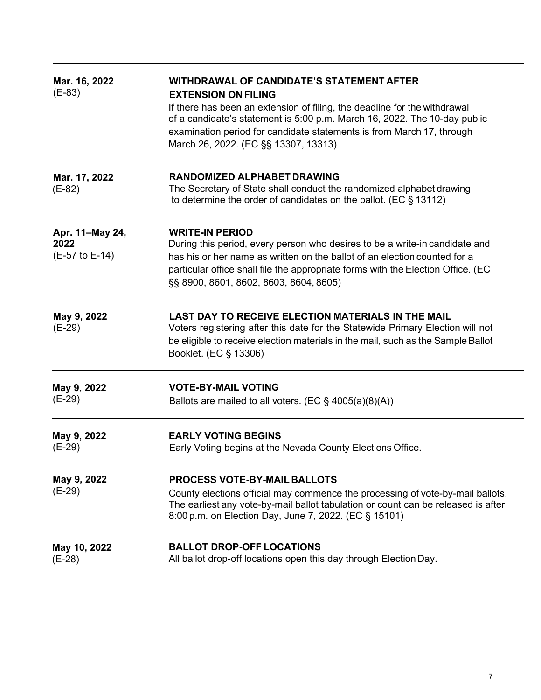| Mar. 16, 2022<br>$(E-83)$                 | WITHDRAWAL OF CANDIDATE'S STATEMENT AFTER<br><b>EXTENSION ON FILING</b><br>If there has been an extension of filing, the deadline for the withdrawal<br>of a candidate's statement is 5:00 p.m. March 16, 2022. The 10-day public<br>examination period for candidate statements is from March 17, through<br>March 26, 2022. (EC §§ 13307, 13313) |
|-------------------------------------------|----------------------------------------------------------------------------------------------------------------------------------------------------------------------------------------------------------------------------------------------------------------------------------------------------------------------------------------------------|
| Mar. 17, 2022<br>$(E-82)$                 | <b>RANDOMIZED ALPHABET DRAWING</b><br>The Secretary of State shall conduct the randomized alphabet drawing<br>to determine the order of candidates on the ballot. (EC $\S$ 13112)                                                                                                                                                                  |
| Apr. 11-May 24,<br>2022<br>(E-57 to E-14) | <b>WRITE-IN PERIOD</b><br>During this period, every person who desires to be a write-in candidate and<br>has his or her name as written on the ballot of an election counted for a<br>particular office shall file the appropriate forms with the Election Office. (EC<br>§§ 8900, 8601, 8602, 8603, 8604, 8605)                                   |
| May 9, 2022<br>$(E-29)$                   | <b>LAST DAY TO RECEIVE ELECTION MATERIALS IN THE MAIL</b><br>Voters registering after this date for the Statewide Primary Election will not<br>be eligible to receive election materials in the mail, such as the Sample Ballot<br>Booklet. (EC § 13306)                                                                                           |
| May 9, 2022<br>$(E-29)$                   | <b>VOTE-BY-MAIL VOTING</b><br>Ballots are mailed to all voters. (EC $\S$ 4005(a)(8)(A))                                                                                                                                                                                                                                                            |
| May 9, 2022<br>$(E-29)$                   | <b>EARLY VOTING BEGINS</b><br>Early Voting begins at the Nevada County Elections Office.                                                                                                                                                                                                                                                           |
| May 9, 2022<br>$(E-29)$                   | <b>PROCESS VOTE-BY-MAIL BALLOTS</b><br>County elections official may commence the processing of vote-by-mail ballots.<br>The earliest any vote-by-mail ballot tabulation or count can be released is after<br>8:00 p.m. on Election Day, June 7, 2022. (EC § 15101)                                                                                |
| May 10, 2022<br>$(E-28)$                  | <b>BALLOT DROP-OFF LOCATIONS</b><br>All ballot drop-off locations open this day through Election Day.                                                                                                                                                                                                                                              |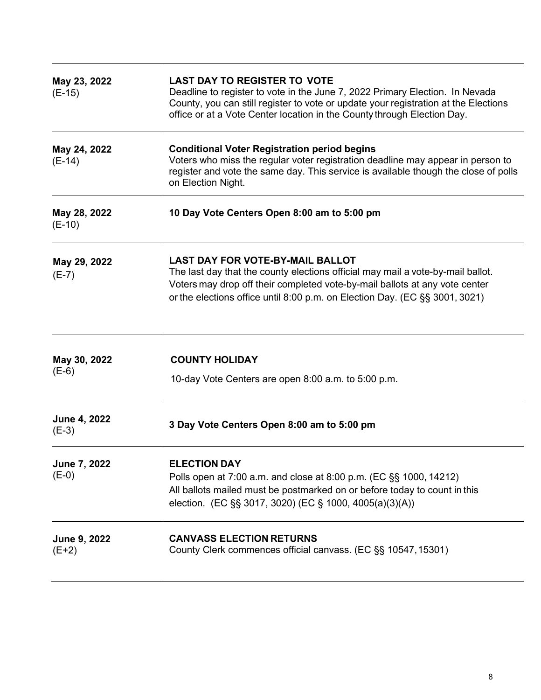| May 23, 2022<br>$(E-15)$       | <b>LAST DAY TO REGISTER TO VOTE</b><br>Deadline to register to vote in the June 7, 2022 Primary Election. In Nevada<br>County, you can still register to vote or update your registration at the Elections<br>office or at a Vote Center location in the County through Election Day.    |
|--------------------------------|------------------------------------------------------------------------------------------------------------------------------------------------------------------------------------------------------------------------------------------------------------------------------------------|
| May 24, 2022<br>$(E-14)$       | <b>Conditional Voter Registration period begins</b><br>Voters who miss the regular voter registration deadline may appear in person to<br>register and vote the same day. This service is available though the close of polls<br>on Election Night.                                      |
| May 28, 2022<br>$(E-10)$       | 10 Day Vote Centers Open 8:00 am to 5:00 pm                                                                                                                                                                                                                                              |
| May 29, 2022<br>$(E-7)$        | <b>LAST DAY FOR VOTE-BY-MAIL BALLOT</b><br>The last day that the county elections official may mail a vote-by-mail ballot.<br>Voters may drop off their completed vote-by-mail ballots at any vote center<br>or the elections office until 8:00 p.m. on Election Day. (EC §§ 3001, 3021) |
| May 30, 2022<br>$(E-6)$        | <b>COUNTY HOLIDAY</b><br>10-day Vote Centers are open 8:00 a.m. to 5:00 p.m.                                                                                                                                                                                                             |
| <b>June 4, 2022</b><br>$(E-3)$ | 3 Day Vote Centers Open 8:00 am to 5:00 pm                                                                                                                                                                                                                                               |
| <b>June 7, 2022</b><br>$(E-0)$ | <b>ELECTION DAY</b><br>Polls open at 7:00 a.m. and close at 8:00 p.m. (EC §§ 1000, 14212)<br>All ballots mailed must be postmarked on or before today to count in this<br>election. (EC §§ 3017, 3020) (EC § 1000, 4005(a)(3)(A))                                                        |
| June 9, 2022<br>$(E+2)$        | <b>CANVASS ELECTION RETURNS</b><br>County Clerk commences official canvass. (EC §§ 10547, 15301)                                                                                                                                                                                         |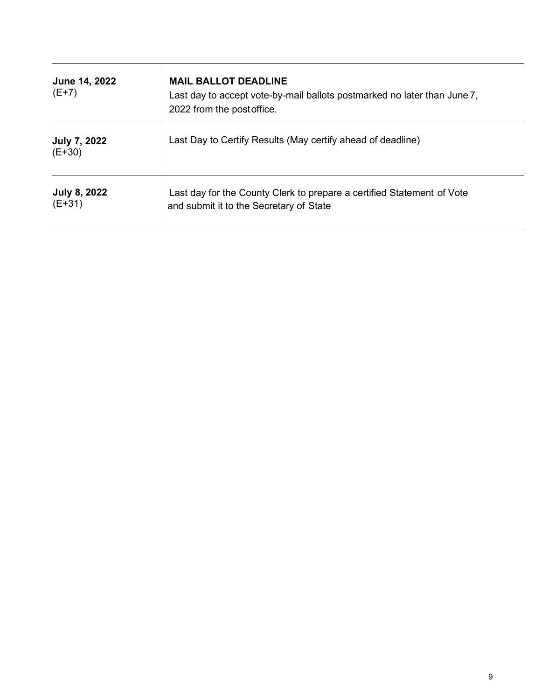| June 14, 2022<br>$(E+7)$        | <b>MAIL BALLOT DEADLINE</b><br>Last day to accept vote-by-mail ballots postmarked no later than June 7,<br>2022 from the post office. |
|---------------------------------|---------------------------------------------------------------------------------------------------------------------------------------|
| <b>July 7, 2022</b><br>$(E+30)$ | Last Day to Certify Results (May certify ahead of deadline)                                                                           |
| <b>July 8, 2022</b><br>$(E+31)$ | Last day for the County Clerk to prepare a certified Statement of Vote<br>and submit it to the Secretary of State                     |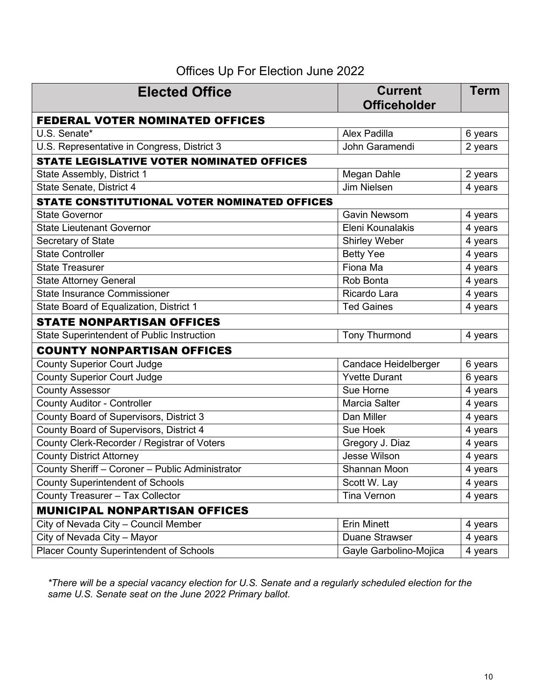### Offices Up For Election June 2022

<span id="page-10-0"></span>

| <b>Elected Office</b>                           | <b>Current</b><br><b>Officeholder</b> | <b>Term</b> |
|-------------------------------------------------|---------------------------------------|-------------|
| <b>FEDERAL VOTER NOMINATED OFFICES</b>          |                                       |             |
| U.S. Senate*                                    | <b>Alex Padilla</b>                   | 6 years     |
| U.S. Representative in Congress, District 3     | John Garamendi                        | 2 years     |
| STATE LEGISLATIVE VOTER NOMINATED OFFICES       |                                       |             |
| State Assembly, District 1                      | Megan Dahle                           | 2 years     |
| State Senate, District 4                        | <b>Jim Nielsen</b>                    | 4 years     |
| STATE CONSTITUTIONAL VOTER NOMINATED OFFICES    |                                       |             |
| <b>State Governor</b>                           | <b>Gavin Newsom</b>                   | 4 years     |
| <b>State Lieutenant Governor</b>                | Eleni Kounalakis                      | 4 years     |
| Secretary of State                              | <b>Shirley Weber</b>                  | 4 years     |
| <b>State Controller</b>                         | <b>Betty Yee</b>                      | 4 years     |
| <b>State Treasurer</b>                          | Fiona Ma                              | 4 years     |
| <b>State Attorney General</b>                   | Rob Bonta                             | 4 years     |
| <b>State Insurance Commissioner</b>             | Ricardo Lara                          | 4 years     |
| State Board of Equalization, District 1         | <b>Ted Gaines</b>                     | 4 years     |
| <b>STATE NONPARTISAN OFFICES</b>                |                                       |             |
| State Superintendent of Public Instruction      | <b>Tony Thurmond</b>                  | 4 years     |
| <b>COUNTY NONPARTISAN OFFICES</b>               |                                       |             |
| <b>County Superior Court Judge</b>              | <b>Candace Heidelberger</b>           | 6 years     |
| <b>County Superior Court Judge</b>              | <b>Yvette Durant</b>                  | 6 years     |
| <b>County Assessor</b>                          | Sue Horne                             | 4 years     |
| <b>County Auditor - Controller</b>              | Marcia Salter                         | 4 years     |
| County Board of Supervisors, District 3         | Dan Miller                            | 4 years     |
| County Board of Supervisors, District 4         | Sue Hoek                              | 4 years     |
| County Clerk-Recorder / Registrar of Voters     | Gregory J. Diaz                       | 4 years     |
| <b>County District Attorney</b>                 | <b>Jesse Wilson</b>                   | 4 years     |
| County Sheriff - Coroner - Public Administrator | Shannan Moon                          | 4 years     |
| <b>County Superintendent of Schools</b>         | Scott W. Lay                          | 4 years     |
| County Treasurer - Tax Collector                | <b>Tina Vernon</b>                    | 4 years     |
| <b>MUNICIPAL NONPARTISAN OFFICES</b>            |                                       |             |
| City of Nevada City - Council Member            | <b>Erin Minett</b>                    | 4 years     |
| City of Nevada City - Mayor                     | <b>Duane Strawser</b>                 | 4 years     |
| Placer County Superintendent of Schools         | Gayle Garbolino-Mojica                | 4 years     |

*\*There will be a special vacancy election for U.S. Senate and a regularly scheduled election for the same U.S. Senate seat on the June 2022 Primary ballot.*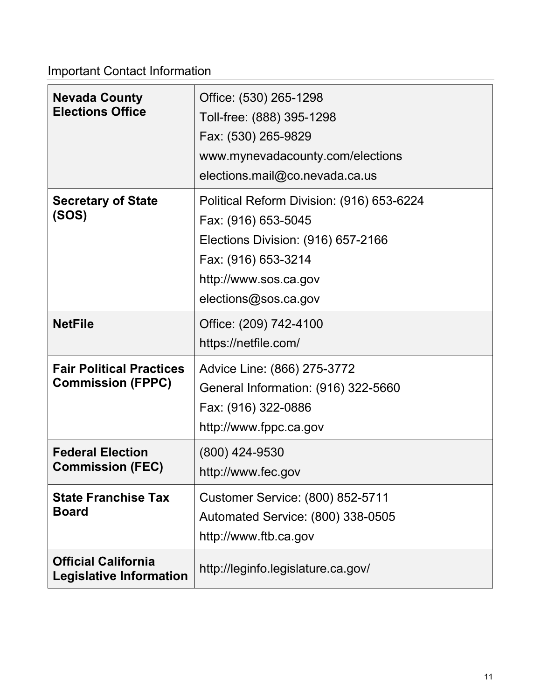<span id="page-11-0"></span>Important Contact Information

| <b>Nevada County</b><br><b>Elections Office</b>              | Office: (530) 265-1298<br>Toll-free: (888) 395-1298<br>Fax: (530) 265-9829<br>www.mynevadacounty.com/elections<br>elections.mail@co.nevada.ca.us                               |
|--------------------------------------------------------------|--------------------------------------------------------------------------------------------------------------------------------------------------------------------------------|
| <b>Secretary of State</b><br>(SOS)                           | Political Reform Division: (916) 653-6224<br>Fax: (916) 653-5045<br>Elections Division: (916) 657-2166<br>Fax: (916) 653-3214<br>http://www.sos.ca.gov<br>elections@sos.ca.gov |
| <b>NetFile</b>                                               | Office: (209) 742-4100<br>https://netfile.com/                                                                                                                                 |
| <b>Fair Political Practices</b><br><b>Commission (FPPC)</b>  | Advice Line: (866) 275-3772<br>General Information: (916) 322-5660<br>Fax: (916) 322-0886<br>http://www.fppc.ca.gov                                                            |
| <b>Federal Election</b><br><b>Commission (FEC)</b>           | (800) 424-9530<br>http://www.fec.gov                                                                                                                                           |
| <b>State Franchise Tax</b><br><b>Board</b>                   | <b>Customer Service: (800) 852-5711</b><br>Automated Service: (800) 338-0505<br>http://www.ftb.ca.gov                                                                          |
| <b>Official California</b><br><b>Legislative Information</b> | http://leginfo.legislature.ca.gov/                                                                                                                                             |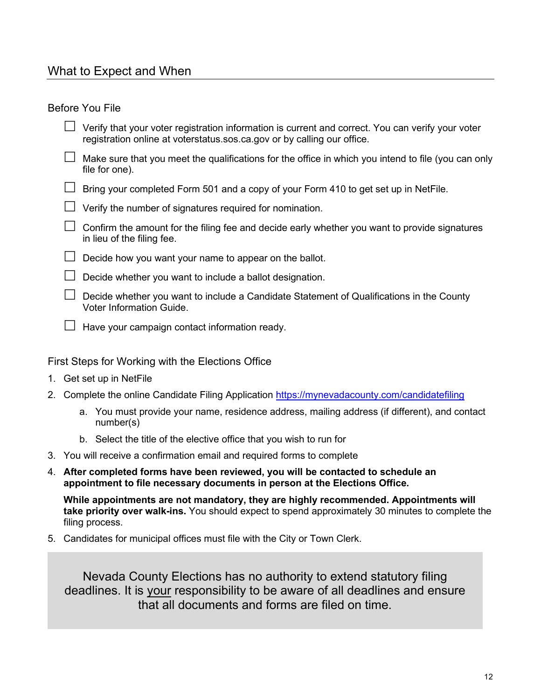### <span id="page-12-0"></span>What to Expect and When

#### <span id="page-12-1"></span>Before You File

- $\Box$  Verify that your voter registration information is current and correct. You can verify your voter registration online at [voterstatus.sos.ca.gov](https://voterstatus.sos.ca.gov/) or by calling our office.
- $\Box$  Make sure that you meet the qualifications for the office in which you intend to file (you can only file for one).
- $\Box$  Bring your completed Form 501 and a copy of your Form 410 to get set up in NetFile.
- $\Box$  Verify the number of signatures required for nomination.
- $\Box$  Confirm the amount for the filing fee and decide early whether you want to provide signatures in lieu of the filing fee.
- $\Box$  Decide how you want your name to appear on the ballot.
- $\Box$  Decide whether you want to include a ballot designation.
- $\Box$  Decide whether you want to include a Candidate Statement of Qualifications in the County Voter Information Guide.
- $\Box$  Have your campaign contact information ready.

#### <span id="page-12-2"></span>First Steps for Working with the Elections Office

- 1. Get set up in NetFile
- 2. Complete the online Candidate Filing Application<https://mynevadacounty.com/candidatefiling>
	- a. You must provide your name, residence address, mailing address (if different), and contact number(s)
	- b. Select the title of the elective office that you wish to run for
- 3. You will receive a confirmation email and required forms to complete
- 4. **After completed forms have been reviewed, you will be contacted to schedule an appointment to file necessary documents in person at the Elections Office.**

**While appointments are not mandatory, they are highly recommended. Appointments will take priority over walk-ins.** You should expect to spend approximately 30 minutes to complete the filing process.

5. Candidates for municipal offices must file with the City or Town Clerk.

Nevada County Elections has no authority to extend statutory filing deadlines. It is your responsibility to be aware of all deadlines and ensure that all documents and forms are filed on time.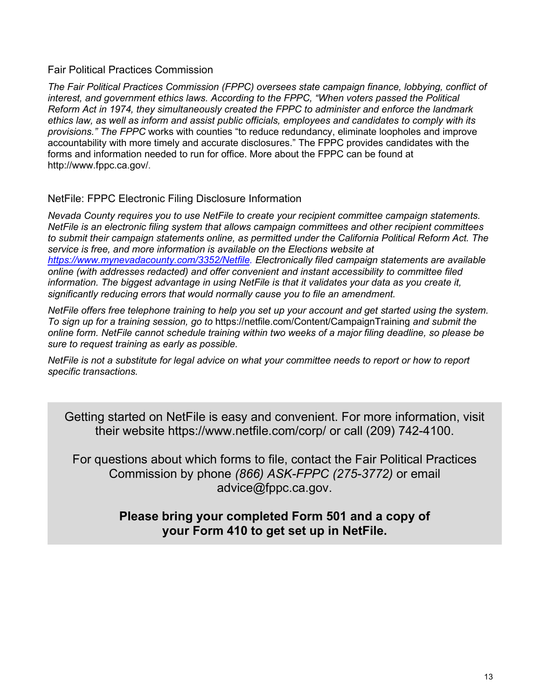#### <span id="page-13-0"></span>Fair Political Practices Commission

*The Fair Political Practices Commission (FPPC) oversees state campaign finance, lobbying, conflict of interest, and government ethics laws. According to the FPPC, "When voters passed the Political Reform Act in 1974, they simultaneously created the FPPC to administer and enforce the landmark ethics law, as well as inform and assist public officials, employees and candidates to comply with its provisions." The FPPC* works with counties "to reduce redundancy, eliminate loopholes and improve accountability with more timely and accurate disclosures." The FPPC provides candidates with the forms and information needed to run for office. More about the FPPC can be found at [http://www.fppc.ca.gov/.](http://www.fppc.ca.gov/)

#### <span id="page-13-1"></span>NetFile: FPPC Electronic Filing Disclosure Information

*Nevada County requires you to use NetFile to create your recipient committee campaign statements. NetFile is an electronic filing system that allows campaign committees and other recipient committees to submit their campaign statements online, as permitted under the California Political Reform Act. The service is free, and more information is available on the Elections website at https://www.mynevadacounty.com/3352/Netfile. Electronically filed campaign statements are available online (with addresses redacted) and offer convenient and instant accessibility to committee filed information. The biggest advantage in using NetFile is that it validates your data as you create it, significantly reducing errors that would normally cause you to file an amendment.* 

*NetFile offers free telephone training to help you set up your account and get started using the system. To sign up for a training session, go to* <https://netfile.com/Content/CampaignTraining> *and submit the online form. NetFile cannot schedule training within two weeks of a major filing deadline, so please be sure to request training as early as possible.* 

*NetFile is not a substitute for legal advice on what your committee needs to report or how to report specific transactions.* 

Getting started on NetFile is easy and convenient. For more information, visit their website<https://www.netfile.com/corp/> or call (209) 742-4100.

For questions about which forms to file, contact the Fair Political Practices Commission by phone *(866) ASK-FPPC (275-3772)* or email [advice@fppc.ca.gov.](mailto:advice@fppc.ca.gov)

### **Please bring your completed Form 501 and a copy of your Form 410 to get set up in NetFile.**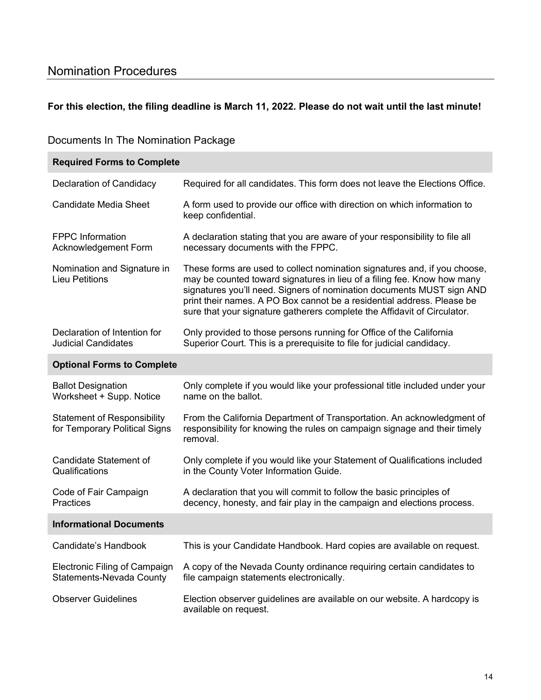### <span id="page-14-0"></span>Nomination Procedures

#### **For this election, the filing deadline is March 11, 2022. Please do not wait until the last minute!**

#### <span id="page-14-1"></span>Documents In The Nomination Package

| <b>Required Forms to Complete</b>                                   |                                                                                                                                                                                                                                                                                                                                                                                     |
|---------------------------------------------------------------------|-------------------------------------------------------------------------------------------------------------------------------------------------------------------------------------------------------------------------------------------------------------------------------------------------------------------------------------------------------------------------------------|
| Declaration of Candidacy                                            | Required for all candidates. This form does not leave the Elections Office.                                                                                                                                                                                                                                                                                                         |
| <b>Candidate Media Sheet</b>                                        | A form used to provide our office with direction on which information to<br>keep confidential.                                                                                                                                                                                                                                                                                      |
| <b>FPPC</b> Information<br>Acknowledgement Form                     | A declaration stating that you are aware of your responsibility to file all<br>necessary documents with the FPPC.                                                                                                                                                                                                                                                                   |
| Nomination and Signature in<br><b>Lieu Petitions</b>                | These forms are used to collect nomination signatures and, if you choose,<br>may be counted toward signatures in lieu of a filing fee. Know how many<br>signatures you'll need. Signers of nomination documents MUST sign AND<br>print their names. A PO Box cannot be a residential address. Please be<br>sure that your signature gatherers complete the Affidavit of Circulator. |
| Declaration of Intention for<br><b>Judicial Candidates</b>          | Only provided to those persons running for Office of the California<br>Superior Court. This is a prerequisite to file for judicial candidacy.                                                                                                                                                                                                                                       |
| <b>Optional Forms to Complete</b>                                   |                                                                                                                                                                                                                                                                                                                                                                                     |
| <b>Ballot Designation</b><br>Worksheet + Supp. Notice               | Only complete if you would like your professional title included under your<br>name on the ballot.                                                                                                                                                                                                                                                                                  |
| <b>Statement of Responsibility</b><br>for Temporary Political Signs | From the California Department of Transportation. An acknowledgment of<br>responsibility for knowing the rules on campaign signage and their timely<br>removal.                                                                                                                                                                                                                     |
| Candidate Statement of<br>Qualifications                            | Only complete if you would like your Statement of Qualifications included<br>in the County Voter Information Guide.                                                                                                                                                                                                                                                                 |
| Code of Fair Campaign<br>Practices                                  | A declaration that you will commit to follow the basic principles of<br>decency, honesty, and fair play in the campaign and elections process.                                                                                                                                                                                                                                      |
| <b>Informational Documents</b>                                      |                                                                                                                                                                                                                                                                                                                                                                                     |
| Candidate's Handbook                                                | This is your Candidate Handbook. Hard copies are available on request.                                                                                                                                                                                                                                                                                                              |
| Electronic Filing of Campaign<br><b>Statements-Nevada County</b>    | A copy of the Nevada County ordinance requiring certain candidates to<br>file campaign statements electronically.                                                                                                                                                                                                                                                                   |
| <b>Observer Guidelines</b>                                          | Election observer guidelines are available on our website. A hardcopy is<br>available on request.                                                                                                                                                                                                                                                                                   |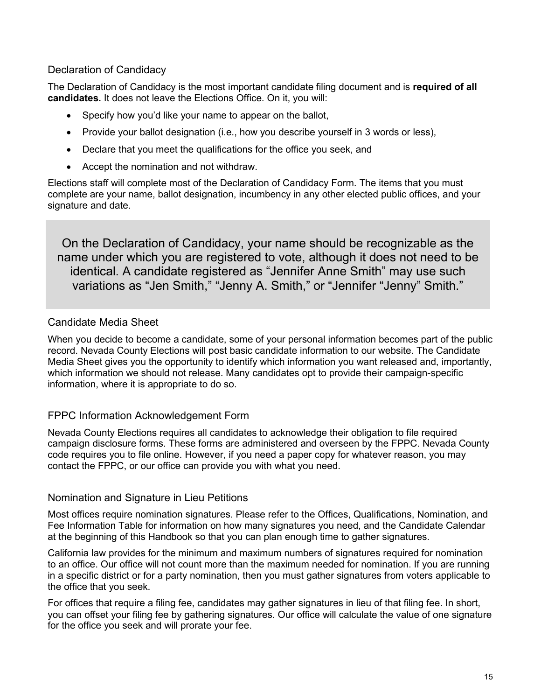#### <span id="page-15-0"></span>Declaration of Candidacy

The Declaration of Candidacy is the most important candidate filing document and is **required of all candidates.** It does not leave the Elections Office. On it, you will:

- Specify how you'd like your name to appear on the ballot,
- Provide your ballot designation (i.e., how you describe yourself in 3 words or less),
- Declare that you meet the qualifications for the office you seek, and
- Accept the nomination and not withdraw.

Elections staff will complete most of the Declaration of Candidacy Form. The items that you must complete are your name, ballot designation, incumbency in any other elected public offices, and your signature and date.

On the Declaration of Candidacy, your name should be recognizable as the name under which you are registered to vote, although it does not need to be identical. A candidate registered as "Jennifer Anne Smith" may use such variations as "Jen Smith," "Jenny A. Smith," or "Jennifer "Jenny" Smith."

#### <span id="page-15-1"></span>Candidate Media Sheet

When you decide to become a candidate, some of your personal information becomes part of the public record. Nevada County Elections will post basic candidate information to our website. The Candidate Media Sheet gives you the opportunity to identify which information you want released and, importantly, which information we should not release. Many candidates opt to provide their campaign-specific information, where it is appropriate to do so.

#### <span id="page-15-2"></span>FPPC Information Acknowledgement Form

Nevada County Elections requires all candidates to acknowledge their obligation to file required campaign disclosure forms. These forms are administered and overseen by the FPPC. Nevada County code requires you to file online. However, if you need a paper copy for whatever reason, you may contact the FPPC, or our office can provide you with what you need.

#### <span id="page-15-3"></span>Nomination and Signature in Lieu Petitions

Most offices require nomination signatures. Please refer to the Offices, Qualifications, Nomination, and Fee Information Table for information on how many signatures you need, and the Candidate Calendar at the beginning of this Handbook so that you can plan enough time to gather signatures.

California law provides for the minimum and maximum numbers of signatures required for nomination to an office. Our office will not count more than the maximum needed for nomination. If you are running in a specific district or for a party nomination, then you must gather signatures from voters applicable to the office that you seek.

For offices that require a filing fee, candidates may gather signatures in lieu of that filing fee. In short, you can offset your filing fee by gathering signatures. Our office will calculate the value of one signature for the office you seek and will prorate your fee.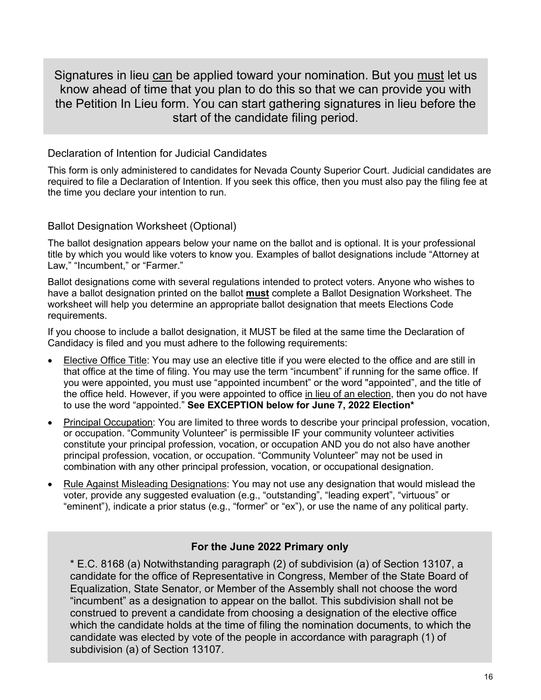Signatures in lieu can be applied toward your nomination. But you must let us know ahead of time that you plan to do this so that we can provide you with the Petition In Lieu form. You can start gathering signatures in lieu before the start of the candidate filing period.

#### <span id="page-16-0"></span>Declaration of Intention for Judicial Candidates

This form is only administered to candidates for Nevada County Superior Court. Judicial candidates are required to file a Declaration of Intention. If you seek this office, then you must also pay the filing fee at the time you declare your intention to run.

#### <span id="page-16-1"></span>Ballot Designation Worksheet (Optional)

The ballot designation appears below your name on the ballot and is optional. It is your professional title by which you would like voters to know you. Examples of ballot designations include "Attorney at Law," "Incumbent," or "Farmer."

Ballot designations come with several regulations intended to protect voters. Anyone who wishes to have a ballot designation printed on the ballot **must** complete a Ballot Designation Worksheet. The worksheet will help you determine an appropriate ballot designation that meets Elections Code requirements.

If you choose to include a ballot designation, it MUST be filed at the same time the Declaration of Candidacy is filed and you must adhere to the following requirements:

- Elective Office Title: You may use an elective title if you were elected to the office and are still in that office at the time of filing. You may use the term "incumbent" if running for the same office. If you were appointed, you must use "appointed incumbent" or the word "appointed", and the title of the office held. However, if you were appointed to office in lieu of an election, then you do not have to use the word "appointed." **See EXCEPTION below for June 7, 2022 Election\***
- Principal Occupation: You are limited to three words to describe your principal profession, vocation, or occupation. "Community Volunteer" is permissible IF your community volunteer activities constitute your principal profession, vocation, or occupation AND you do not also have another principal profession, vocation, or occupation. "Community Volunteer" may not be used in combination with any other principal profession, vocation, or occupational designation.
- Rule Against Misleading Designations: You may not use any designation that would mislead the voter, provide any suggested evaluation (e.g., "outstanding", "leading expert", "virtuous" or "eminent"), indicate a prior status (e.g., "former" or "ex"), or use the name of any political party.

#### **For the June 2022 Primary only**

\* E.C. 8168 (a) Notwithstanding paragraph (2) of subdivision (a) of Section 13107, a candidate for the office of Representative in Congress, Member of the State Board of Equalization, State Senator, or Member of the Assembly shall not choose the word "incumbent" as a designation to appear on the ballot. This subdivision shall not be construed to prevent a candidate from choosing a designation of the elective office which the candidate holds at the time of filing the nomination documents, to which the candidate was elected by vote of the people in accordance with paragraph (1) of subdivision (a) of Section 13107.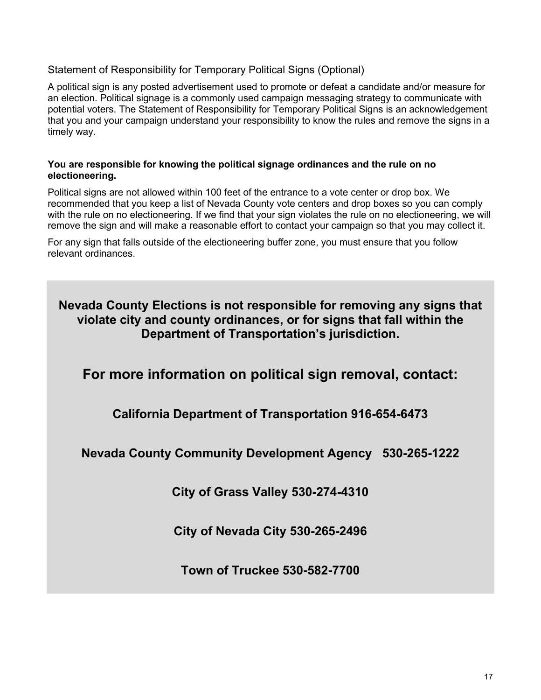#### <span id="page-17-0"></span>Statement of Responsibility for Temporary Political Signs (Optional)

A political sign is any posted advertisement used to promote or defeat a candidate and/or measure for an election. Political signage is a commonly used campaign messaging strategy to communicate with potential voters. The Statement of Responsibility for Temporary Political Signs is an acknowledgement that you and your campaign understand your responsibility to know the rules and remove the signs in a timely way.

#### **You are responsible for knowing the political signage ordinances and the rule on no electioneering.**

Political signs are not allowed within 100 feet of the entrance to a vote center or drop box. We recommended that you keep a list of Nevada County vote centers and drop boxes so you can comply with the rule on no electioneering. If we find that your sign violates the rule on no electioneering, we will remove the sign and will make a reasonable effort to contact your campaign so that you may collect it.

For any sign that falls outside of the electioneering buffer zone, you must ensure that you follow relevant ordinances.

**Nevada County Elections is not responsible for removing any signs that violate city and county ordinances, or for signs that fall within the Department of Transportation's jurisdiction.**

**For more information on political sign removal, contact:**

**California Department of Transportation 916-654-6473**

**Nevada County Community Development Agency 530-265-1222**

**City of Grass Valley 530-274-4310**

**City of Nevada City 530-265-2496**

**Town of Truckee 530-582-7700**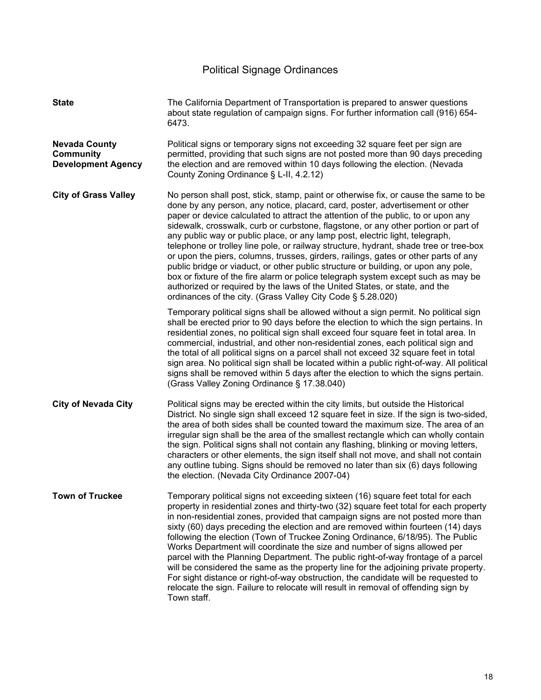### Political Signage Ordinances

<span id="page-18-0"></span>

| <b>State</b>                                                          | The California Department of Transportation is prepared to answer questions<br>about state regulation of campaign signs. For further information call (916) 654-<br>6473.                                                                                                                                                                                                                                                                                                                                                                                                                                                                                                                                                                                                                                                                                                                                                               |
|-----------------------------------------------------------------------|-----------------------------------------------------------------------------------------------------------------------------------------------------------------------------------------------------------------------------------------------------------------------------------------------------------------------------------------------------------------------------------------------------------------------------------------------------------------------------------------------------------------------------------------------------------------------------------------------------------------------------------------------------------------------------------------------------------------------------------------------------------------------------------------------------------------------------------------------------------------------------------------------------------------------------------------|
| <b>Nevada County</b><br><b>Community</b><br><b>Development Agency</b> | Political signs or temporary signs not exceeding 32 square feet per sign are<br>permitted, providing that such signs are not posted more than 90 days preceding<br>the election and are removed within 10 days following the election. (Nevada<br>County Zoning Ordinance § L-II, 4.2.12)                                                                                                                                                                                                                                                                                                                                                                                                                                                                                                                                                                                                                                               |
| <b>City of Grass Valley</b>                                           | No person shall post, stick, stamp, paint or otherwise fix, or cause the same to be<br>done by any person, any notice, placard, card, poster, advertisement or other<br>paper or device calculated to attract the attention of the public, to or upon any<br>sidewalk, crosswalk, curb or curbstone, flagstone, or any other portion or part of<br>any public way or public place, or any lamp post, electric light, telegraph,<br>telephone or trolley line pole, or railway structure, hydrant, shade tree or tree-box<br>or upon the piers, columns, trusses, girders, railings, gates or other parts of any<br>public bridge or viaduct, or other public structure or building, or upon any pole,<br>box or fixture of the fire alarm or police telegraph system except such as may be<br>authorized or required by the laws of the United States, or state, and the<br>ordinances of the city. (Grass Valley City Code § 5.28.020) |
|                                                                       | Temporary political signs shall be allowed without a sign permit. No political sign<br>shall be erected prior to 90 days before the election to which the sign pertains. In<br>residential zones, no political sign shall exceed four square feet in total area. In<br>commercial, industrial, and other non-residential zones, each political sign and<br>the total of all political signs on a parcel shall not exceed 32 square feet in total<br>sign area. No political sign shall be located within a public right-of-way. All political<br>signs shall be removed within 5 days after the election to which the signs pertain.<br>(Grass Valley Zoning Ordinance § 17.38.040)                                                                                                                                                                                                                                                     |
| <b>City of Nevada City</b>                                            | Political signs may be erected within the city limits, but outside the Historical<br>District. No single sign shall exceed 12 square feet in size. If the sign is two-sided,<br>the area of both sides shall be counted toward the maximum size. The area of an<br>irregular sign shall be the area of the smallest rectangle which can wholly contain<br>the sign. Political signs shall not contain any flashing, blinking or moving letters,<br>characters or other elements, the sign itself shall not move, and shall not contain<br>any outline tubing. Signs should be removed no later than six (6) days following<br>the election. (Nevada City Ordinance 2007-04)                                                                                                                                                                                                                                                             |
| <b>Town of Truckee</b>                                                | Temporary political signs not exceeding sixteen (16) square feet total for each<br>property in residential zones and thirty-two (32) square feet total for each property<br>in non-residential zones, provided that campaign signs are not posted more than<br>sixty (60) days preceding the election and are removed within fourteen (14) days<br>following the election (Town of Truckee Zoning Ordinance, 6/18/95). The Public<br>Works Department will coordinate the size and number of signs allowed per<br>parcel with the Planning Department. The public right-of-way frontage of a parcel<br>will be considered the same as the property line for the adjoining private property.<br>For sight distance or right-of-way obstruction, the candidate will be requested to<br>relocate the sign. Failure to relocate will result in removal of offending sign by<br>Town staff.                                                  |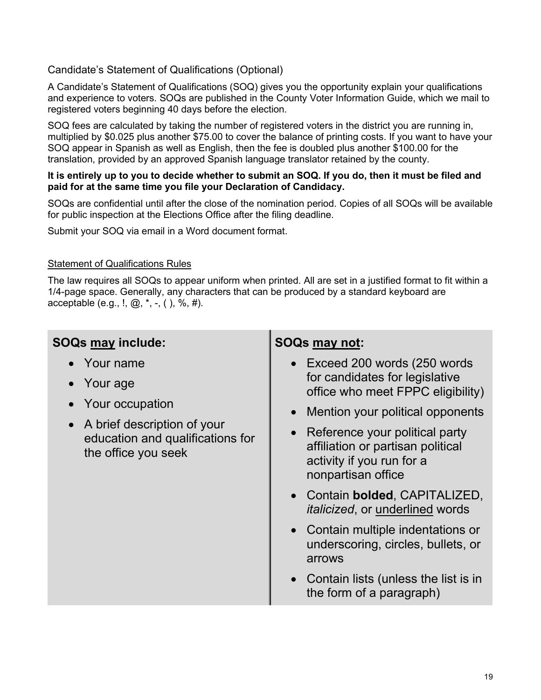#### <span id="page-19-0"></span>Candidate's Statement of Qualifications (Optional)

A Candidate's Statement of Qualifications (SOQ) gives you the opportunity explain your qualifications and experience to voters. SOQs are published in the County Voter Information Guide, which we mail to registered voters beginning 40 days before the election.

SOQ fees are calculated by taking the number of registered voters in the district you are running in, multiplied by \$0.025 plus another \$75.00 to cover the balance of printing costs. If you want to have your SOQ appear in Spanish as well as English, then the fee is doubled plus another \$100.00 for the translation, provided by an approved Spanish language translator retained by the county.

#### **It is entirely up to you to decide whether to submit an SOQ. If you do, then it must be filed and paid for at the same time you file your Declaration of Candidacy.**

SOQs are confidential until after the close of the nomination period. Copies of all SOQs will be available for public inspection at the Elections Office after the filing deadline.

Submit your SOQ via email in a Word document format.

#### Statement of Qualifications Rules

The law requires all SOQs to appear uniform when printed. All are set in a justified format to fit within a 1/4-page space. Generally, any characters that can be produced by a standard keyboard are acceptable (e.g., !,  $@,$ , \*, -, (), %, #).

|  |  | <b>SOQs may include:</b> |
|--|--|--------------------------|
|--|--|--------------------------|

- Your name
- Your age
- Your occupation
- A brief description of your education and qualifications for the office you seek

#### **SOQs may not:**

- Exceed 200 words (250 words for candidates for legislative office who meet FPPC eligibility)
- Mention your political opponents
- Reference your political party affiliation or partisan political activity if you run for a nonpartisan office
- Contain **bolded**, CAPITALIZED, *italicized*, or underlined words
- Contain multiple indentations or underscoring, circles, bullets, or arrows
- Contain lists (unless the list is in the form of a paragraph)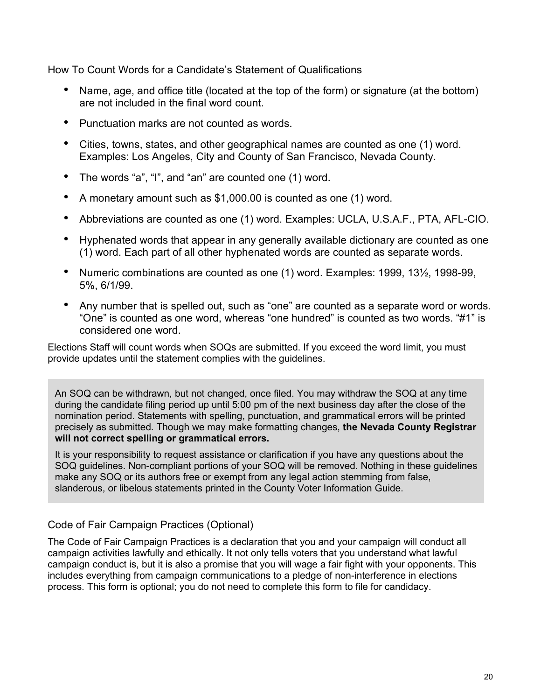<span id="page-20-0"></span>How To Count Words for a Candidate's Statement of Qualifications

- Name, age, and office title (located at the top of the form) or signature (at the bottom) are not included in the final word count.
- Punctuation marks are not counted as words.
- Cities, towns, states, and other geographical names are counted as one (1) word. Examples: Los Angeles, City and County of San Francisco, Nevada County.
- The words "a", "I", and "an" are counted one (1) word.
- A monetary amount such as \$1,000.00 is counted as one (1) word.
- Abbreviations are counted as one (1) word. Examples: UCLA, U.S.A.F., PTA, AFL-CIO.
- Hyphenated words that appear in any generally available dictionary are counted as one (1) word. Each part of all other hyphenated words are counted as separate words.
- Numeric combinations are counted as one (1) word. Examples: 1999, 13½, 1998-99, 5%, 6/1/99.
- Any number that is spelled out, such as "one" are counted as a separate word or words. "One" is counted as one word, whereas "one hundred" is counted as two words. "#1" is considered one word.

Elections Staff will count words when SOQs are submitted. If you exceed the word limit, you must provide updates until the statement complies with the guidelines.

An SOQ can be withdrawn, but not changed, once filed. You may withdraw the SOQ at any time during the candidate filing period up until 5:00 pm of the next business day after the close of the nomination period. Statements with spelling, punctuation, and grammatical errors will be printed precisely as submitted. Though we may make formatting changes, **the Nevada County Registrar will not correct spelling or grammatical errors.**

It is your responsibility to request assistance or clarification if you have any questions about the SOQ guidelines. Non-compliant portions of your SOQ will be removed. Nothing in these guidelines make any SOQ or its authors free or exempt from any legal action stemming from false, slanderous, or libelous statements printed in the County Voter Information Guide.

#### <span id="page-20-1"></span>Code of Fair Campaign Practices (Optional)

The Code of Fair Campaign Practices is a declaration that you and your campaign will conduct all campaign activities lawfully and ethically. It not only tells voters that you understand what lawful campaign conduct is, but it is also a promise that you will wage a fair fight with your opponents. This includes everything from campaign communications to a pledge of non-interference in elections process. This form is optional; you do not need to complete this form to file for candidacy.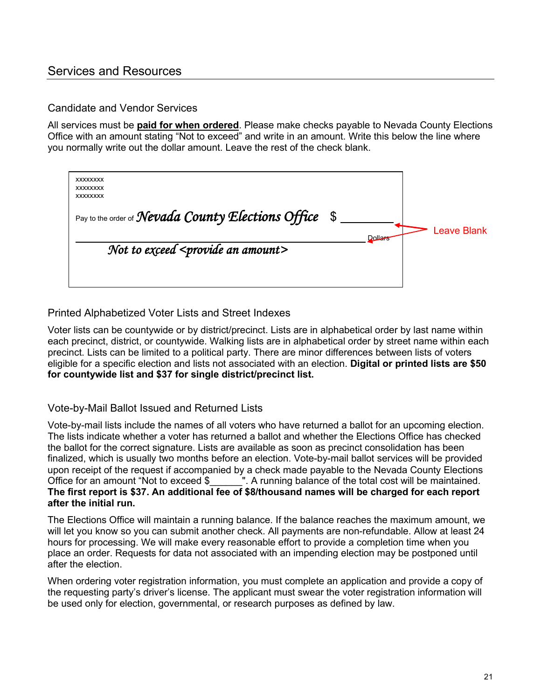#### <span id="page-21-0"></span>Services and Resources

#### <span id="page-21-1"></span>Candidate and Vendor Services

All services must be **paid for when ordered**. Please make checks payable to Nevada County Elections Office with an amount stating "Not to exceed" and write in an amount. Write this below the line where you normally write out the dollar amount. Leave the rest of the check blank.

| <b>XXXXXXXX</b><br><b>XXXXXXXX</b><br><b>XXXXXXXX</b><br>Pay to the order of <b>Nevada County Elections Office</b><br>\$<br>Not to exceed <provide amount="" an=""></provide> | Dollars |  | Leave Blank |
|-------------------------------------------------------------------------------------------------------------------------------------------------------------------------------|---------|--|-------------|
|-------------------------------------------------------------------------------------------------------------------------------------------------------------------------------|---------|--|-------------|

<span id="page-21-2"></span>Printed Alphabetized Voter Lists and Street Indexes

Voter lists can be countywide or by district/precinct. Lists are in alphabetical order by last name within each precinct, district, or countywide. Walking lists are in alphabetical order by street name within each precinct. Lists can be limited to a political party. There are minor differences between lists of voters eligible for a specific election and lists not associated with an election. **Digital or printed lists are \$50 for countywide list and \$37 for single district/precinct list.** 

#### <span id="page-21-3"></span>Vote-by-Mail Ballot Issued and Returned Lists

Vote-by-mail lists include the names of all voters who have returned a ballot for an upcoming election. The lists indicate whether a voter has returned a ballot and whether the Elections Office has checked the ballot for the correct signature. Lists are available as soon as precinct consolidation has been finalized, which is usually two months before an election. Vote-by-mail ballot services will be provided upon receipt of the request if accompanied by a check made payable to the Nevada County Elections<br>Office for an amount "Not to exceed  $$$  \_\_\_\_". A running balance of the total cost will be maintained. ". A running balance of the total cost will be maintained. **The first report is \$37. An additional fee of \$8/thousand names will be charged for each report after the initial run.**

The Elections Office will maintain a running balance. If the balance reaches the maximum amount, we will let you know so you can submit another check. All payments are non-refundable. Allow at least 24 hours for processing. We will make every reasonable effort to provide a completion time when you place an order. Requests for data not associated with an impending election may be postponed until after the election.

When ordering voter registration information, you must complete an application and provide a copy of the requesting party's driver's license. The applicant must swear the voter registration information will be used only for election, governmental, or research purposes as defined by law.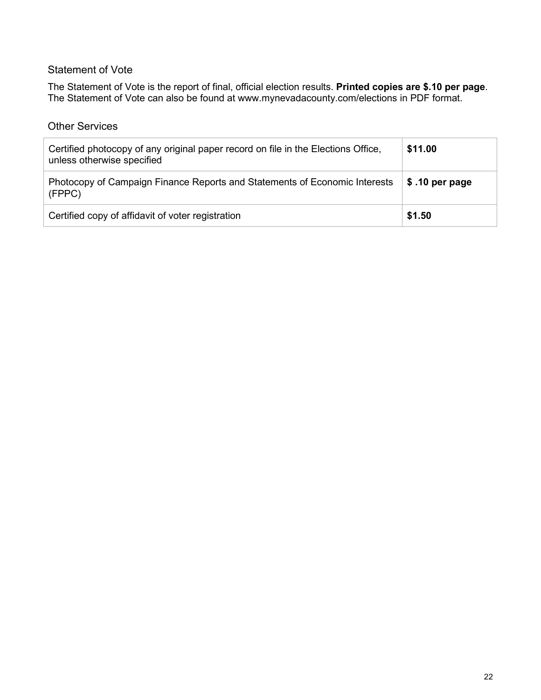#### <span id="page-22-0"></span>Statement of Vote

The Statement of Vote is the report of final, official election results. **Printed copies are \$.10 per page**. The Statement of Vote can also be found at [www.mynevadacounty.com/elections](http://www.mynevadacounty.com/elections) in PDF format.

#### <span id="page-22-1"></span>Other Services

| Certified photocopy of any original paper record on file in the Elections Office,<br>unless otherwise specified | \$11.00         |
|-----------------------------------------------------------------------------------------------------------------|-----------------|
| Photocopy of Campaign Finance Reports and Statements of Economic Interests<br>(FPPC)                            | $$.10$ per page |
| Certified copy of affidavit of voter registration                                                               | \$1.50          |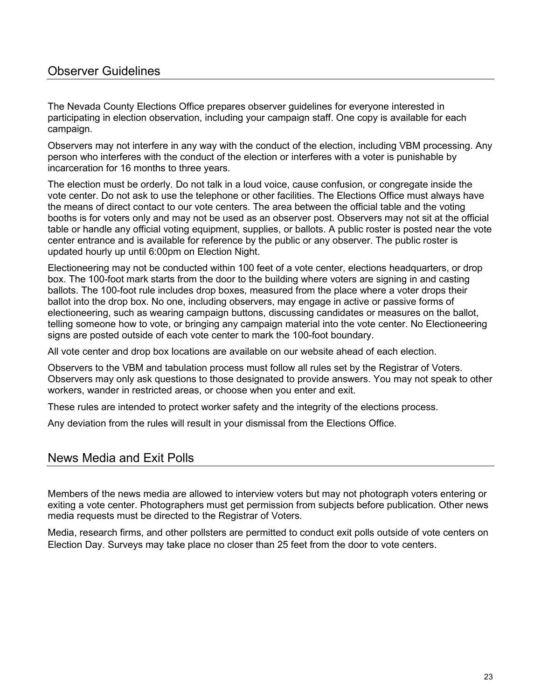### <span id="page-23-0"></span>Observer Guidelines

The Nevada County Elections Office prepares observer guidelines for everyone interested in participating in election observation, including your campaign staff. One copy is available for each campaign.

Observers may not interfere in any way with the conduct of the election, including VBM processing. Any person who interferes with the conduct of the election or interferes with a voter is punishable by incarceration for 16 months to three years.

The election must be orderly. Do not talk in a loud voice, cause confusion, or congregate inside the vote center. Do not ask to use the telephone or other facilities. The Elections Office must always have the means of direct contact to our vote centers. The area between the official table and the voting booths is for voters only and may not be used as an observer post. Observers may not sit at the official table or handle any official voting equipment, supplies, or ballots. A public roster is posted near the vote center entrance and is available for reference by the public or any observer. The public roster is updated hourly up until 6:00pm on Election Night.

Electioneering may not be conducted within 100 feet of a vote center, elections headquarters, or drop box. The 100-foot mark starts from the door to the building where voters are signing in and casting ballots. The 100-foot rule includes drop boxes, measured from the place where a voter drops their ballot into the drop box. No one, including observers, may engage in active or passive forms of electioneering, such as wearing campaign buttons, discussing candidates or measures on the ballot, telling someone how to vote, or bringing any campaign material into the vote center. No Electioneering signs are posted outside of each vote center to mark the 100-foot boundary.

All vote center and drop box locations are available on our website ahead of each election.

Observers to the VBM and tabulation process must follow all rules set by the Registrar of Voters. Observers may only ask questions to those designated to provide answers. You may not speak to other workers, wander in restricted areas, or choose when you enter and exit.

These rules are intended to protect worker safety and the integrity of the elections process.

Any deviation from the rules will result in your dismissal from the Elections Office.

#### <span id="page-23-1"></span>News Media and Exit Polls

Members of the news media are allowed to interview voters but may not photograph voters entering or exiting a vote center. Photographers must get permission from subjects before publication. Other news media requests must be directed to the Registrar of Voters.

Media, research firms, and other pollsters are permitted to conduct exit polls outside of vote centers on Election Day. Surveys may take place no closer than 25 feet from the door to vote centers.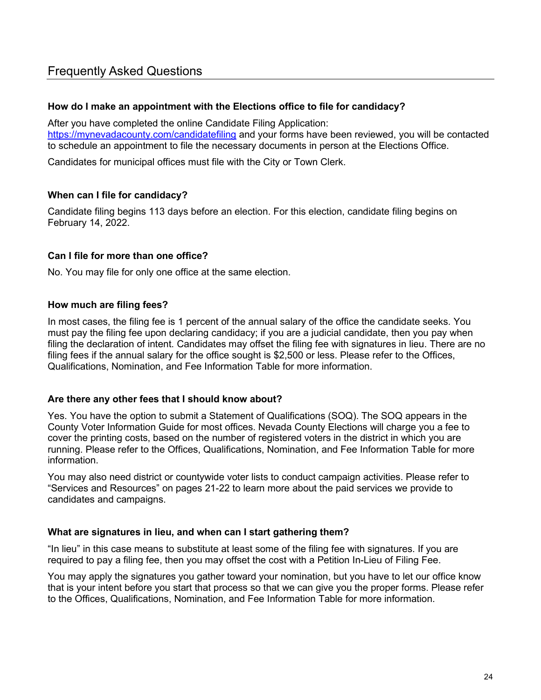#### <span id="page-24-0"></span>**How do I make an appointment with the Elections office to file for candidacy?**

After you have completed the online Candidate Filing Application: <https://mynevadacounty.com/candidatefiling> and your forms have been reviewed, you will be contacted to schedule an appointment to file the necessary documents in person at the Elections Office.

Candidates for municipal offices must file with the City or Town Clerk.

#### **When can I file for candidacy?**

Candidate filing begins 113 days before an election. For this election, candidate filing begins on February 14, 2022.

#### **Can I file for more than one office?**

No. You may file for only one office at the same election.

#### **How much are filing fees?**

In most cases, the filing fee is 1 percent of the annual salary of the office the candidate seeks. You must pay the filing fee upon declaring candidacy; if you are a judicial candidate, then you pay when filing the declaration of intent. Candidates may offset the filing fee with signatures in lieu. There are no filing fees if the annual salary for the office sought is \$2,500 or less. Please refer to the Offices, Qualifications, Nomination, and Fee Information Table for more information.

#### **Are there any other fees that I should know about?**

Yes. You have the option to submit a Statement of Qualifications (SOQ). The SOQ appears in the County Voter Information Guide for most offices. Nevada County Elections will charge you a fee to cover the printing costs, based on the number of registered voters in the district in which you are running. Please refer to the Offices, Qualifications, Nomination, and Fee Information Table for more information.

You may also need district or countywide voter lists to conduct campaign activities. Please refer to "Services and Resources" on pages 21-22 to learn more about the paid services we provide to candidates and campaigns.

#### **What are signatures in lieu, and when can I start gathering them?**

"In lieu" in this case means to substitute at least some of the filing fee with signatures. If you are required to pay a filing fee, then you may offset the cost with a Petition In-Lieu of Filing Fee.

You may apply the signatures you gather toward your nomination, but you have to let our office know that is your intent before you start that process so that we can give you the proper forms. Please refer to the Offices, Qualifications, Nomination, and Fee Information Table for more information.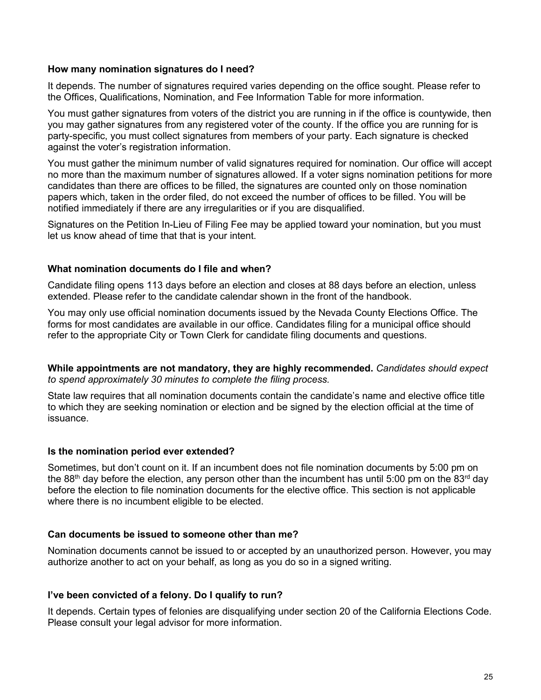#### **How many nomination signatures do I need?**

It depends. The number of signatures required varies depending on the office sought. Please refer to the Offices, Qualifications, Nomination, and Fee Information Table for more information.

You must gather signatures from voters of the district you are running in if the office is countywide, then you may gather signatures from any registered voter of the county. If the office you are running for is party-specific, you must collect signatures from members of your party. Each signature is checked against the voter's registration information.

You must gather the minimum number of valid signatures required for nomination. Our office will accept no more than the maximum number of signatures allowed. If a voter signs nomination petitions for more candidates than there are offices to be filled, the signatures are counted only on those nomination papers which, taken in the order filed, do not exceed the number of offices to be filled. You will be notified immediately if there are any irregularities or if you are disqualified.

Signatures on the Petition In-Lieu of Filing Fee may be applied toward your nomination, but you must let us know ahead of time that that is your intent.

#### **What nomination documents do I file and when?**

Candidate filing opens 113 days before an election and closes at 88 days before an election, unless extended. Please refer to the candidate calendar shown in the front of the handbook.

You may only use official nomination documents issued by the Nevada County Elections Office. The forms for most candidates are available in our office. Candidates filing for a municipal office should refer to the appropriate City or Town Clerk for candidate filing documents and questions.

**While appointments are not mandatory, they are highly recommended.** *Candidates should expect to spend approximately 30 minutes to complete the filing process.*

State law requires that all nomination documents contain the candidate's name and elective office title to which they are seeking nomination or election and be signed by the election official at the time of issuance.

#### **Is the nomination period ever extended?**

Sometimes, but don't count on it. If an incumbent does not file nomination documents by 5:00 pm on the 88<sup>th</sup> day before the election, any person other than the incumbent has until 5:00 pm on the 83<sup>rd</sup> day before the election to file nomination documents for the elective office. This section is not applicable where there is no incumbent eligible to be elected.

#### **Can documents be issued to someone other than me?**

Nomination documents cannot be issued to or accepted by an unauthorized person. However, you may authorize another to act on your behalf, as long as you do so in a signed writing.

#### **I've been convicted of a felony. Do I qualify to run?**

It depends. Certain types of felonies are disqualifying under section 20 of the California Elections Code. Please consult your legal advisor for more information.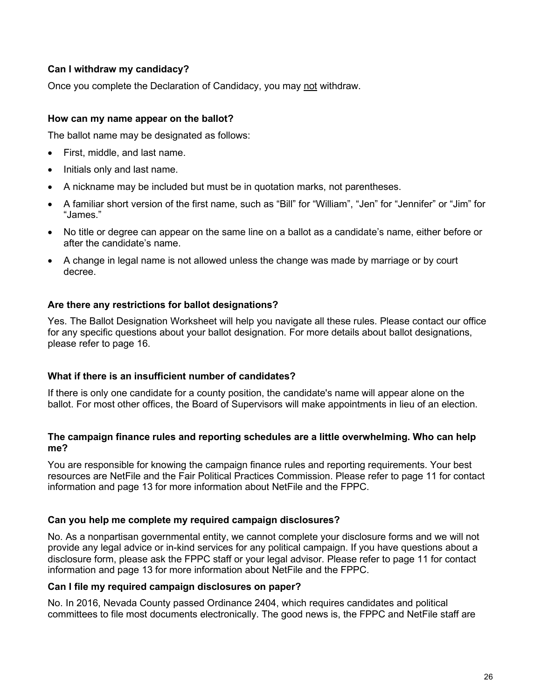#### **Can I withdraw my candidacy?**

Once you complete the Declaration of Candidacy, you may not withdraw.

#### **How can my name appear on the ballot?**

The ballot name may be designated as follows:

- First, middle, and last name.
- Initials only and last name.
- A nickname may be included but must be in quotation marks, not parentheses.
- A familiar short version of the first name, such as "Bill" for "William", "Jen" for "Jennifer" or "Jim" for "James."
- No title or degree can appear on the same line on a ballot as a candidate's name, either before or after the candidate's name.
- A change in legal name is not allowed unless the change was made by marriage or by court decree.

#### **Are there any restrictions for ballot designations?**

Yes. The Ballot Designation Worksheet will help you navigate all these rules. Please contact our office for any specific questions about your ballot designation. For more details about ballot designations, please refer to page 16.

#### **What if there is an insufficient number of candidates?**

If there is only one candidate for a county position, the candidate's name will appear alone on the ballot. For most other offices, the Board of Supervisors will make appointments in lieu of an election.

#### **The campaign finance rules and reporting schedules are a little overwhelming. Who can help me?**

You are responsible for knowing the campaign finance rules and reporting requirements. Your best resources are NetFile and the Fair Political Practices Commission. Please refer to page 11 for contact information and page 13 for more information about NetFile and the FPPC.

#### **Can you help me complete my required campaign disclosures?**

No. As a nonpartisan governmental entity, we cannot complete your disclosure forms and we will not provide any legal advice or in-kind services for any political campaign. If you have questions about a disclosure form, please ask the FPPC staff or your legal advisor. Please refer to page 11 for contact information and page 13 for more information about NetFile and the FPPC.

#### **Can I file my required campaign disclosures on paper?**

No. In 2016, Nevada County passed Ordinance 2404, which requires candidates and political committees to file most documents electronically. The good news is, the FPPC and NetFile staff are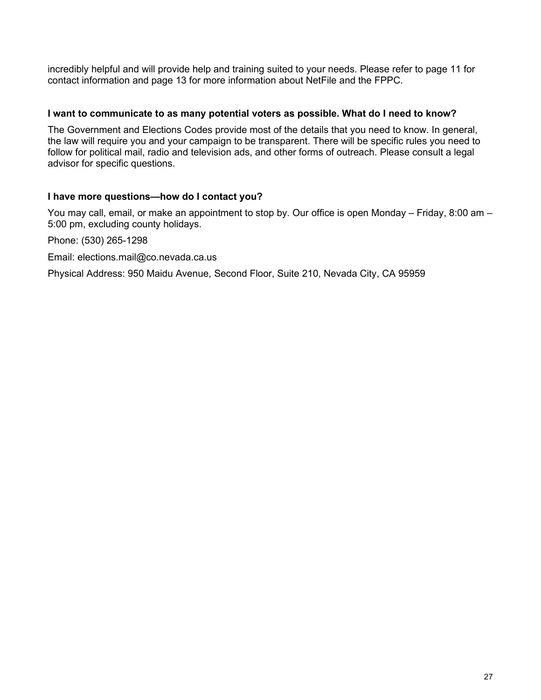incredibly helpful and will provide help and training suited to your needs. Please refer to page 11 for contact information and page 13 for more information about NetFile and the FPPC.

#### **I want to communicate to as many potential voters as possible. What do I need to know?**

The Government and Elections Codes provide most of the details that you need to know. In general, the law will require you and your campaign to be transparent. There will be specific rules you need to follow for political mail, radio and television ads, and other forms of outreach. Please consult a legal advisor for specific questions.

#### **I have more questions—how do I contact you?**

You may call, email, or make an appointment to stop by. Our office is open Monday – Friday, 8:00 am – 5:00 pm, excluding county holidays.

Phone: (530) 265-1298

Email: [elections.mail@co.nevada.ca.us](mailto:elections.mail@co.nevada.ca.us)

Physical Address: 950 Maidu Avenue, Second Floor, Suite 210, Nevada City, CA 95959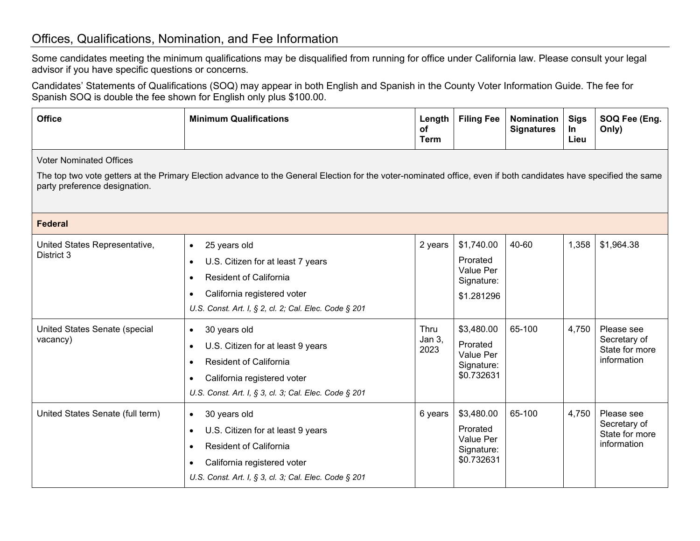### Offices, Qualifications, Nomination, and Fee Information

Some candidates meeting the minimum qualifications may be disqualified from running for office under California law. Please consult your legal advisor if you have specific questions or concerns.

Candidates' Statements of Qualifications (SOQ) may appear in both English and Spanish in the County Voter Information Guide. The fee for Spanish SOQ is double the fee shown for English only plus \$100.00.

<span id="page-28-1"></span><span id="page-28-0"></span>

| <b>Office</b>                                                                                                                                                                                                                       | <b>Minimum Qualifications</b>                                                                                                                                                                        | Length<br>оf<br><b>Term</b> | <b>Filing Fee</b>                                                      | <b>Nomination</b><br><b>Signatures</b> | <b>Sigs</b><br>In<br>Lieu | SOQ Fee (Eng.<br>Only)                                      |  |  |  |
|-------------------------------------------------------------------------------------------------------------------------------------------------------------------------------------------------------------------------------------|------------------------------------------------------------------------------------------------------------------------------------------------------------------------------------------------------|-----------------------------|------------------------------------------------------------------------|----------------------------------------|---------------------------|-------------------------------------------------------------|--|--|--|
| <b>Voter Nominated Offices</b><br>The top two vote getters at the Primary Election advance to the General Election for the voter-nominated office, even if both candidates have specified the same<br>party preference designation. |                                                                                                                                                                                                      |                             |                                                                        |                                        |                           |                                                             |  |  |  |
| <b>Federal</b>                                                                                                                                                                                                                      |                                                                                                                                                                                                      |                             |                                                                        |                                        |                           |                                                             |  |  |  |
| United States Representative,<br>District 3                                                                                                                                                                                         | 25 years old<br>$\bullet$<br>U.S. Citizen for at least 7 years<br>$\bullet$<br><b>Resident of California</b><br>California registered voter<br>U.S. Const. Art. I, § 2, cl. 2; Cal. Elec. Code § 201 | 2 years                     | \$1,740.00<br>Prorated<br><b>Value Per</b><br>Signature:<br>\$1.281296 | 40-60                                  | 1,358                     | \$1,964.38                                                  |  |  |  |
| United States Senate (special<br>vacancy)                                                                                                                                                                                           | 30 years old<br>$\bullet$<br>U.S. Citizen for at least 9 years<br><b>Resident of California</b><br>California registered voter<br>U.S. Const. Art. I, § 3, cl. 3; Cal. Elec. Code § 201              | Thru<br>Jan 3,<br>2023      | \$3,480.00<br>Prorated<br>Value Per<br>Signature:<br>\$0.732631        | 65-100                                 | 4,750                     | Please see<br>Secretary of<br>State for more<br>information |  |  |  |
| United States Senate (full term)                                                                                                                                                                                                    | 30 years old<br>$\bullet$<br>U.S. Citizen for at least 9 years<br>$\bullet$<br><b>Resident of California</b><br>California registered voter<br>U.S. Const. Art. I, § 3, cl. 3; Cal. Elec. Code § 201 | 6 years                     | \$3,480.00<br>Prorated<br>Value Per<br>Signature:<br>\$0.732631        | 65-100                                 | 4,750                     | Please see<br>Secretary of<br>State for more<br>information |  |  |  |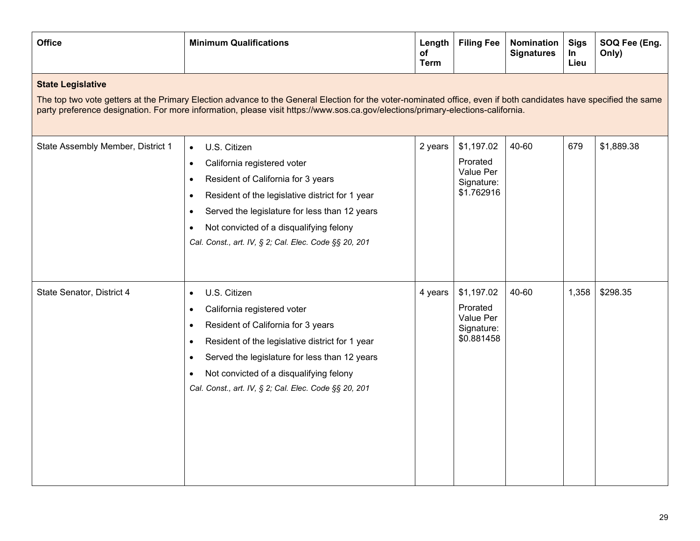| <b>Office</b>                                                                                                                                                                                                                                                                                                                   | <b>Minimum Qualifications</b>                                                                                                                                                                                                                                                                                                                                           | Length<br>оf<br><b>Term</b> | <b>Filing Fee</b>                                               | <b>Nomination</b><br><b>Signatures</b> | <b>Sigs</b><br>In<br>Lieu | SOQ Fee (Eng.<br>Only) |  |  |
|---------------------------------------------------------------------------------------------------------------------------------------------------------------------------------------------------------------------------------------------------------------------------------------------------------------------------------|-------------------------------------------------------------------------------------------------------------------------------------------------------------------------------------------------------------------------------------------------------------------------------------------------------------------------------------------------------------------------|-----------------------------|-----------------------------------------------------------------|----------------------------------------|---------------------------|------------------------|--|--|
| <b>State Legislative</b><br>The top two vote getters at the Primary Election advance to the General Election for the voter-nominated office, even if both candidates have specified the same<br>party preference designation. For more information, please visit https://www.sos.ca.gov/elections/primary-elections-california. |                                                                                                                                                                                                                                                                                                                                                                         |                             |                                                                 |                                        |                           |                        |  |  |
| State Assembly Member, District 1                                                                                                                                                                                                                                                                                               | U.S. Citizen<br>$\bullet$<br>California registered voter<br>$\bullet$<br>Resident of California for 3 years<br>$\bullet$<br>Resident of the legislative district for 1 year<br>$\bullet$<br>Served the legislature for less than 12 years<br>$\bullet$<br>Not convicted of a disqualifying felony<br>$\bullet$<br>Cal. Const., art. IV, § 2; Cal. Elec. Code §§ 20, 201 | 2 years                     | \$1,197.02<br>Prorated<br>Value Per<br>Signature:<br>\$1.762916 | 40-60                                  | 679                       | \$1,889.38             |  |  |
| State Senator, District 4                                                                                                                                                                                                                                                                                                       | U.S. Citizen<br>$\bullet$<br>California registered voter<br>$\bullet$<br>Resident of California for 3 years<br>$\bullet$<br>Resident of the legislative district for 1 year<br>$\bullet$<br>Served the legislature for less than 12 years<br>$\bullet$<br>Not convicted of a disqualifying felony<br>$\bullet$<br>Cal. Const., art. IV, § 2; Cal. Elec. Code §§ 20, 201 | 4 years                     | \$1,197.02<br>Prorated<br>Value Per<br>Signature:<br>\$0.881458 | 40-60                                  | 1,358                     | \$298.35               |  |  |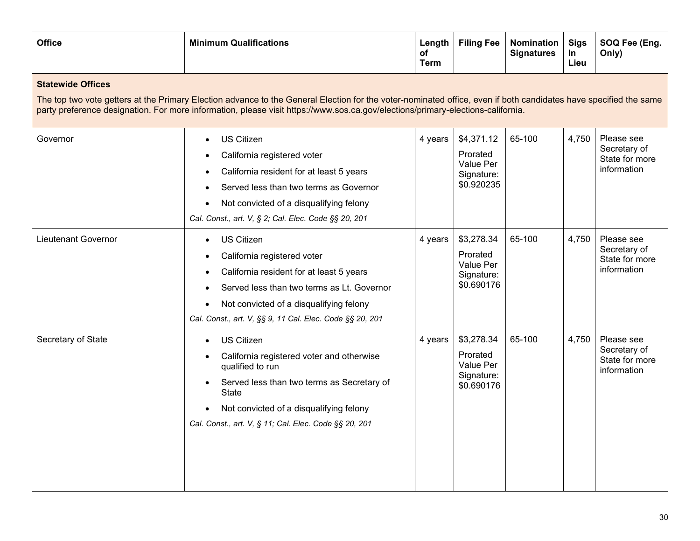| <b>Office</b>                                                                                                                                                                                                                                                                                                                   | <b>Minimum Qualifications</b>                                                                                                                                                                                                                                                               | Length<br>оf<br><b>Term</b> | <b>Filing Fee</b>                                               | Nomination<br><b>Signatures</b> | <b>Sigs</b><br>In<br>Lieu | SOQ Fee (Eng.<br>Only)                                      |  |  |  |
|---------------------------------------------------------------------------------------------------------------------------------------------------------------------------------------------------------------------------------------------------------------------------------------------------------------------------------|---------------------------------------------------------------------------------------------------------------------------------------------------------------------------------------------------------------------------------------------------------------------------------------------|-----------------------------|-----------------------------------------------------------------|---------------------------------|---------------------------|-------------------------------------------------------------|--|--|--|
| <b>Statewide Offices</b><br>The top two vote getters at the Primary Election advance to the General Election for the voter-nominated office, even if both candidates have specified the same<br>party preference designation. For more information, please visit https://www.sos.ca.gov/elections/primary-elections-california. |                                                                                                                                                                                                                                                                                             |                             |                                                                 |                                 |                           |                                                             |  |  |  |
| Governor                                                                                                                                                                                                                                                                                                                        | <b>US Citizen</b><br>$\bullet$<br>California registered voter<br>California resident for at least 5 years<br>Served less than two terms as Governor<br>Not convicted of a disqualifying felony<br>Cal. Const., art. V, § 2; Cal. Elec. Code §§ 20, 201                                      | 4 years                     | \$4,371.12<br>Prorated<br>Value Per<br>Signature:<br>\$0.920235 | 65-100                          | 4,750                     | Please see<br>Secretary of<br>State for more<br>information |  |  |  |
| <b>Lieutenant Governor</b>                                                                                                                                                                                                                                                                                                      | <b>US Citizen</b><br>$\bullet$<br>California registered voter<br>California resident for at least 5 years<br>Served less than two terms as Lt. Governor<br>Not convicted of a disqualifying felony<br>$\bullet$<br>Cal. Const., art. V, §§ 9, 11 Cal. Elec. Code §§ 20, 201                 | 4 years                     | \$3,278.34<br>Prorated<br>Value Per<br>Signature:<br>\$0.690176 | 65-100                          | 4,750                     | Please see<br>Secretary of<br>State for more<br>information |  |  |  |
| Secretary of State                                                                                                                                                                                                                                                                                                              | <b>US Citizen</b><br>$\bullet$<br>California registered voter and otherwise<br>$\bullet$<br>qualified to run<br>Served less than two terms as Secretary of<br>$\bullet$<br><b>State</b><br>Not convicted of a disqualifying felony<br>Cal. Const., art. V, § 11; Cal. Elec. Code §§ 20, 201 | 4 years                     | \$3,278.34<br>Prorated<br>Value Per<br>Signature:<br>\$0.690176 | 65-100                          | 4,750                     | Please see<br>Secretary of<br>State for more<br>information |  |  |  |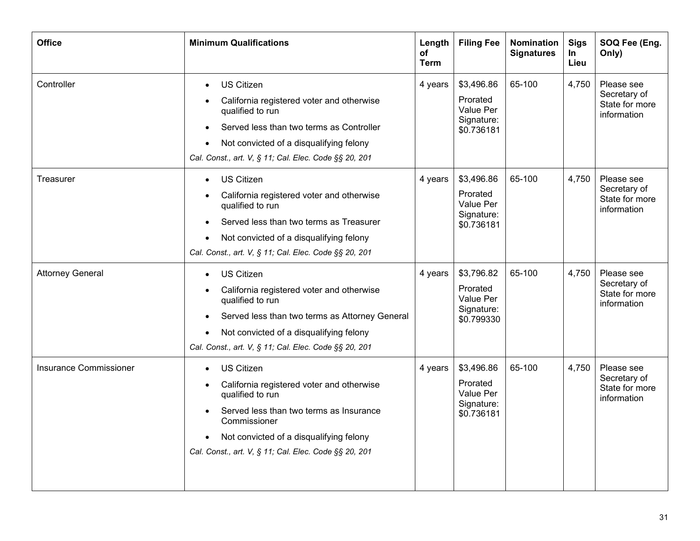| <b>Office</b>                 | <b>Minimum Qualifications</b>                                                                                                                                                                                                                                                                         | Length<br>оf<br><b>Term</b> | <b>Filing Fee</b>                                               | <b>Nomination</b><br><b>Signatures</b> | <b>Sigs</b><br>In<br>Lieu | SOQ Fee (Eng.<br>Only)                                      |
|-------------------------------|-------------------------------------------------------------------------------------------------------------------------------------------------------------------------------------------------------------------------------------------------------------------------------------------------------|-----------------------------|-----------------------------------------------------------------|----------------------------------------|---------------------------|-------------------------------------------------------------|
| Controller                    | <b>US Citizen</b><br>$\bullet$<br>California registered voter and otherwise<br>qualified to run<br>Served less than two terms as Controller<br>Not convicted of a disqualifying felony<br>$\bullet$<br>Cal. Const., art. V, § 11; Cal. Elec. Code §§ 20, 201                                          | 4 years                     | \$3,496.86<br>Prorated<br>Value Per<br>Signature:<br>\$0.736181 | 65-100                                 | 4,750                     | Please see<br>Secretary of<br>State for more<br>information |
| Treasurer                     | <b>US Citizen</b><br>$\bullet$<br>California registered voter and otherwise<br>qualified to run<br>Served less than two terms as Treasurer<br>Not convicted of a disqualifying felony<br>Cal. Const., art. V, § 11; Cal. Elec. Code §§ 20, 201                                                        | 4 years                     | \$3,496.86<br>Prorated<br>Value Per<br>Signature:<br>\$0.736181 | 65-100                                 | 4,750                     | Please see<br>Secretary of<br>State for more<br>information |
| <b>Attorney General</b>       | <b>US Citizen</b><br>California registered voter and otherwise<br>$\bullet$<br>qualified to run<br>Served less than two terms as Attorney General<br>$\bullet$<br>Not convicted of a disqualifying felony<br>Cal. Const., art. V, § 11; Cal. Elec. Code §§ 20, 201                                    | 4 years                     | \$3,796.82<br>Prorated<br>Value Per<br>Signature:<br>\$0.799330 | 65-100                                 | 4,750                     | Please see<br>Secretary of<br>State for more<br>information |
| <b>Insurance Commissioner</b> | <b>US Citizen</b><br>$\bullet$<br>California registered voter and otherwise<br>$\bullet$<br>qualified to run<br>Served less than two terms as Insurance<br>$\bullet$<br>Commissioner<br>Not convicted of a disqualifying felony<br>$\bullet$<br>Cal. Const., art. V, § 11; Cal. Elec. Code §§ 20, 201 | 4 years                     | \$3,496.86<br>Prorated<br>Value Per<br>Signature:<br>\$0.736181 | 65-100                                 | 4,750                     | Please see<br>Secretary of<br>State for more<br>information |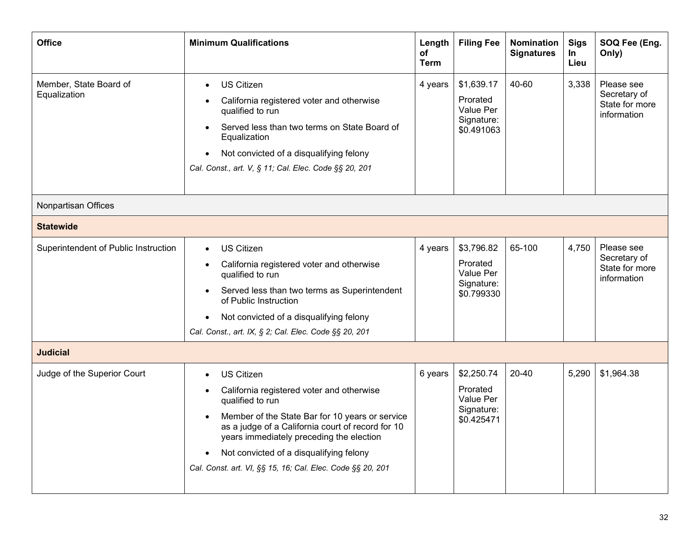<span id="page-32-0"></span>

| <b>Office</b>                          | <b>Minimum Qualifications</b>                                                                                                                                                                                                                                                                                                                                                          | Length<br>of<br><b>Term</b> | <b>Filing Fee</b>                                                      | <b>Nomination</b><br><b>Signatures</b> | <b>Sigs</b><br>In<br>Lieu | SOQ Fee (Eng.<br>Only)                                      |
|----------------------------------------|----------------------------------------------------------------------------------------------------------------------------------------------------------------------------------------------------------------------------------------------------------------------------------------------------------------------------------------------------------------------------------------|-----------------------------|------------------------------------------------------------------------|----------------------------------------|---------------------------|-------------------------------------------------------------|
| Member, State Board of<br>Equalization | <b>US Citizen</b><br>$\bullet$<br>California registered voter and otherwise<br>qualified to run<br>Served less than two terms on State Board of<br>$\bullet$<br>Equalization<br>Not convicted of a disqualifying felony<br>$\bullet$<br>Cal. Const., art. V, § 11; Cal. Elec. Code §§ 20, 201                                                                                          | 4 years                     | \$1,639.17<br>Prorated<br>Value Per<br>Signature:<br>\$0.491063        | 40-60                                  | 3,338                     | Please see<br>Secretary of<br>State for more<br>information |
| Nonpartisan Offices                    |                                                                                                                                                                                                                                                                                                                                                                                        |                             |                                                                        |                                        |                           |                                                             |
| <b>Statewide</b>                       |                                                                                                                                                                                                                                                                                                                                                                                        |                             |                                                                        |                                        |                           |                                                             |
| Superintendent of Public Instruction   | <b>US Citizen</b><br>$\bullet$<br>California registered voter and otherwise<br>qualified to run<br>Served less than two terms as Superintendent<br>$\bullet$<br>of Public Instruction<br>Not convicted of a disqualifying felony<br>$\bullet$<br>Cal. Const., art. IX, § 2; Cal. Elec. Code §§ 20, 201                                                                                 | 4 years                     | \$3,796.82<br>Prorated<br><b>Value Per</b><br>Signature:<br>\$0.799330 | 65-100                                 | 4,750                     | Please see<br>Secretary of<br>State for more<br>information |
| <b>Judicial</b>                        |                                                                                                                                                                                                                                                                                                                                                                                        |                             |                                                                        |                                        |                           |                                                             |
| Judge of the Superior Court            | <b>US Citizen</b><br>$\bullet$<br>California registered voter and otherwise<br>qualified to run<br>Member of the State Bar for 10 years or service<br>$\bullet$<br>as a judge of a California court of record for 10<br>years immediately preceding the election<br>Not convicted of a disqualifying felony<br>$\bullet$<br>Cal. Const. art. VI, §§ 15, 16; Cal. Elec. Code §§ 20, 201 | 6 years                     | \$2,250.74<br>Prorated<br>Value Per<br>Signature:<br>\$0.425471        | 20-40                                  | 5,290                     | \$1,964.38                                                  |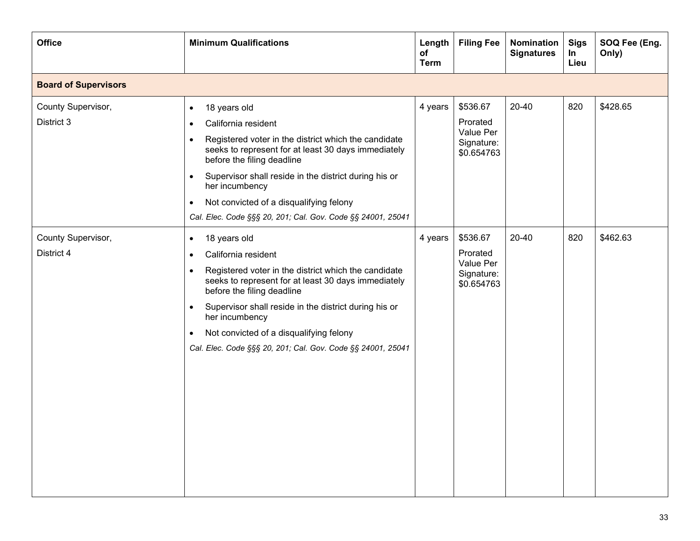| <b>Office</b>                    | <b>Minimum Qualifications</b>                                                                                                                                                                                                                                                                                                                                                                                                          | Length<br>оf<br><b>Term</b> | <b>Filing Fee</b>                                             | Nomination<br><b>Signatures</b> | <b>Sigs</b><br>In<br>Lieu | SOQ Fee (Eng.<br>Only) |
|----------------------------------|----------------------------------------------------------------------------------------------------------------------------------------------------------------------------------------------------------------------------------------------------------------------------------------------------------------------------------------------------------------------------------------------------------------------------------------|-----------------------------|---------------------------------------------------------------|---------------------------------|---------------------------|------------------------|
| <b>Board of Supervisors</b>      |                                                                                                                                                                                                                                                                                                                                                                                                                                        |                             |                                                               |                                 |                           |                        |
| County Supervisor,<br>District 3 | 18 years old<br>$\bullet$<br>California resident<br>$\bullet$<br>Registered voter in the district which the candidate<br>$\bullet$<br>seeks to represent for at least 30 days immediately<br>before the filing deadline<br>Supervisor shall reside in the district during his or<br>$\bullet$<br>her incumbency<br>Not convicted of a disqualifying felony<br>$\bullet$<br>Cal. Elec. Code §§§ 20, 201; Cal. Gov. Code §§ 24001, 25041 | 4 years                     | \$536.67<br>Prorated<br>Value Per<br>Signature:<br>\$0.654763 | 20-40                           | 820                       | \$428.65               |
| County Supervisor,<br>District 4 | 18 years old<br>$\bullet$<br>California resident<br>$\bullet$<br>Registered voter in the district which the candidate<br>$\bullet$<br>seeks to represent for at least 30 days immediately<br>before the filing deadline<br>Supervisor shall reside in the district during his or<br>$\bullet$<br>her incumbency<br>Not convicted of a disqualifying felony<br>$\bullet$<br>Cal. Elec. Code §§§ 20, 201; Cal. Gov. Code §§ 24001, 25041 | 4 years                     | \$536.67<br>Prorated<br>Value Per<br>Signature:<br>\$0.654763 | 20-40                           | 820                       | \$462.63               |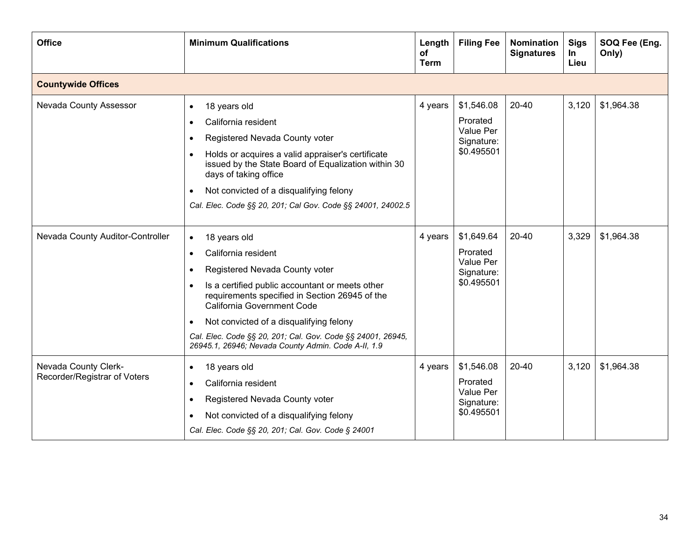| <b>Office</b>                                        | <b>Minimum Qualifications</b>                                                                                                                                                                                                                                                                                                                                                                                                 | Length<br>οf<br><b>Term</b> | <b>Filing Fee</b>                                               | <b>Nomination</b><br><b>Signatures</b> | <b>Sigs</b><br>In<br>Lieu | SOQ Fee (Eng.<br>Only) |
|------------------------------------------------------|-------------------------------------------------------------------------------------------------------------------------------------------------------------------------------------------------------------------------------------------------------------------------------------------------------------------------------------------------------------------------------------------------------------------------------|-----------------------------|-----------------------------------------------------------------|----------------------------------------|---------------------------|------------------------|
| <b>Countywide Offices</b>                            |                                                                                                                                                                                                                                                                                                                                                                                                                               |                             |                                                                 |                                        |                           |                        |
| Nevada County Assessor                               | 18 years old<br>$\bullet$<br>California resident<br>$\bullet$<br>Registered Nevada County voter<br>$\bullet$<br>Holds or acquires a valid appraiser's certificate<br>$\bullet$<br>issued by the State Board of Equalization within 30<br>days of taking office<br>Not convicted of a disqualifying felony<br>Cal. Elec. Code §§ 20, 201; Cal Gov. Code §§ 24001, 24002.5                                                      | 4 years                     | \$1,546.08<br>Prorated<br>Value Per<br>Signature:<br>\$0.495501 | 20-40                                  | 3,120                     | \$1,964.38             |
| Nevada County Auditor-Controller                     | 18 years old<br>$\bullet$<br>California resident<br>$\bullet$<br>Registered Nevada County voter<br>$\bullet$<br>Is a certified public accountant or meets other<br>$\bullet$<br>requirements specified in Section 26945 of the<br>California Government Code<br>Not convicted of a disqualifying felony<br>Cal. Elec. Code §§ 20, 201; Cal. Gov. Code §§ 24001, 26945,<br>26945.1, 26946; Nevada County Admin. Code A-II, 1.9 | 4 years                     | \$1,649.64<br>Prorated<br>Value Per<br>Signature:<br>\$0.495501 | 20-40                                  | 3,329                     | \$1,964.38             |
| Nevada County Clerk-<br>Recorder/Registrar of Voters | 18 years old<br>$\bullet$<br>California resident<br>$\bullet$<br>Registered Nevada County voter<br>٠<br>Not convicted of a disqualifying felony<br>$\bullet$<br>Cal. Elec. Code §§ 20, 201; Cal. Gov. Code § 24001                                                                                                                                                                                                            | 4 years                     | \$1,546.08<br>Prorated<br>Value Per<br>Signature:<br>\$0.495501 | $20 - 40$                              | 3,120                     | \$1,964.38             |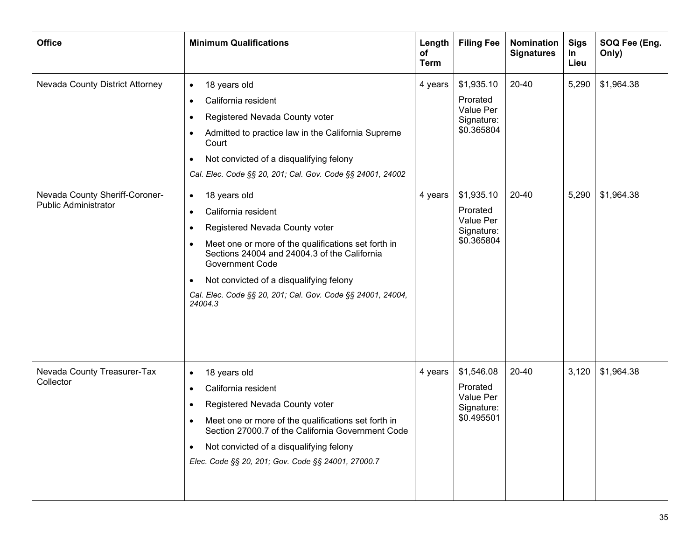| <b>Office</b>                                                 | <b>Minimum Qualifications</b>                                                                                                                                                                                                                                                                                                                                           | Length<br>оf<br><b>Term</b> | <b>Filing Fee</b>                                               | <b>Nomination</b><br><b>Signatures</b> | <b>Sigs</b><br>In<br>Lieu | SOQ Fee (Eng.<br>Only) |
|---------------------------------------------------------------|-------------------------------------------------------------------------------------------------------------------------------------------------------------------------------------------------------------------------------------------------------------------------------------------------------------------------------------------------------------------------|-----------------------------|-----------------------------------------------------------------|----------------------------------------|---------------------------|------------------------|
| Nevada County District Attorney                               | 18 years old<br>$\bullet$<br>California resident<br>$\bullet$<br>Registered Nevada County voter<br>٠<br>Admitted to practice law in the California Supreme<br>$\bullet$<br>Court<br>Not convicted of a disqualifying felony<br>$\bullet$<br>Cal. Elec. Code §§ 20, 201; Cal. Gov. Code §§ 24001, 24002                                                                  | 4 years                     | \$1,935.10<br>Prorated<br>Value Per<br>Signature:<br>\$0.365804 | 20-40                                  | 5,290                     | \$1,964.38             |
| Nevada County Sheriff-Coroner-<br><b>Public Administrator</b> | 18 years old<br>$\bullet$<br>California resident<br>$\bullet$<br>Registered Nevada County voter<br>٠<br>Meet one or more of the qualifications set forth in<br>Sections 24004 and 24004.3 of the California<br><b>Government Code</b><br>Not convicted of a disqualifying felony<br>$\bullet$<br>Cal. Elec. Code §§ 20, 201; Cal. Gov. Code §§ 24001, 24004,<br>24004.3 | 4 years                     | \$1,935.10<br>Prorated<br>Value Per<br>Signature:<br>\$0.365804 | 20-40                                  | 5,290                     | \$1,964.38             |
| Nevada County Treasurer-Tax<br>Collector                      | 18 years old<br>$\bullet$<br>California resident<br>$\bullet$<br>Registered Nevada County voter<br>٠<br>Meet one or more of the qualifications set forth in<br>٠<br>Section 27000.7 of the California Government Code<br>Not convicted of a disqualifying felony<br>$\bullet$<br>Elec. Code §§ 20, 201; Gov. Code §§ 24001, 27000.7                                     | 4 years                     | \$1,546.08<br>Prorated<br>Value Per<br>Signature:<br>\$0.495501 | 20-40                                  | 3,120                     | \$1,964.38             |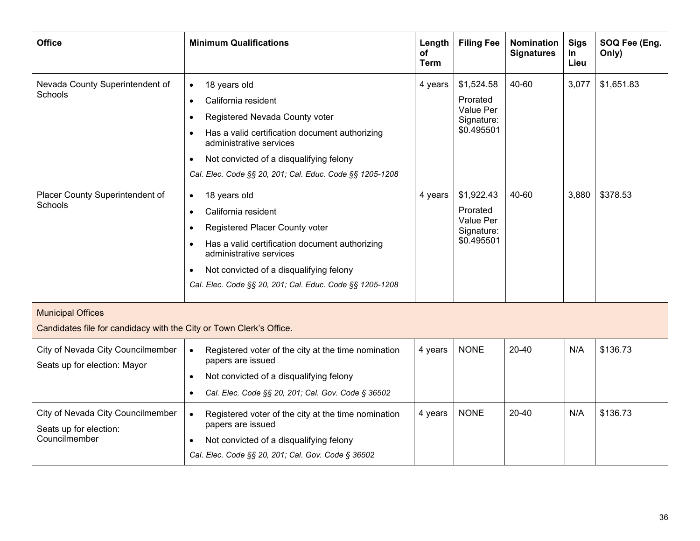<span id="page-36-0"></span>

| <b>Office</b>                                                                                   | <b>Minimum Qualifications</b>                                                                                                                                                                                                                                                                                 | Length<br>of<br><b>Term</b> | <b>Filing Fee</b>                                               | Nomination<br><b>Signatures</b> | <b>Sigs</b><br>In<br>Lieu | SOQ Fee (Eng.<br>Only) |
|-------------------------------------------------------------------------------------------------|---------------------------------------------------------------------------------------------------------------------------------------------------------------------------------------------------------------------------------------------------------------------------------------------------------------|-----------------------------|-----------------------------------------------------------------|---------------------------------|---------------------------|------------------------|
| Nevada County Superintendent of<br>Schools                                                      | 18 years old<br>$\bullet$<br>California resident<br>$\bullet$<br>Registered Nevada County voter<br>$\bullet$<br>Has a valid certification document authorizing<br>administrative services<br>Not convicted of a disqualifying felony<br>$\bullet$<br>Cal. Elec. Code §§ 20, 201; Cal. Educ. Code §§ 1205-1208 | 4 years                     | \$1,524.58<br>Prorated<br>Value Per<br>Signature:<br>\$0.495501 | 40-60                           | 3,077                     | \$1,651.83             |
| Placer County Superintendent of<br>Schools                                                      | 18 years old<br>$\bullet$<br>California resident<br>$\bullet$<br>Registered Placer County voter<br>Has a valid certification document authorizing<br>$\bullet$<br>administrative services<br>Not convicted of a disqualifying felony<br>$\bullet$<br>Cal. Elec. Code §§ 20, 201; Cal. Educ. Code §§ 1205-1208 | 4 years                     | \$1,922.43<br>Prorated<br>Value Per<br>Signature:<br>\$0.495501 | 40-60                           | 3,880                     | \$378.53               |
| <b>Municipal Offices</b><br>Candidates file for candidacy with the City or Town Clerk's Office. |                                                                                                                                                                                                                                                                                                               |                             |                                                                 |                                 |                           |                        |
| City of Nevada City Councilmember<br>Seats up for election: Mayor                               | Registered voter of the city at the time nomination<br>$\bullet$<br>papers are issued<br>Not convicted of a disqualifying felony<br>$\bullet$<br>Cal. Elec. Code §§ 20, 201; Cal. Gov. Code § 36502<br>$\bullet$                                                                                              | 4 years                     | <b>NONE</b>                                                     | $20 - 40$                       | N/A                       | \$136.73               |
| City of Nevada City Councilmember<br>Seats up for election:<br>Councilmember                    | Registered voter of the city at the time nomination<br>$\bullet$<br>papers are issued<br>Not convicted of a disqualifying felony<br>$\bullet$<br>Cal. Elec. Code §§ 20, 201; Cal. Gov. Code § 36502                                                                                                           | 4 years                     | <b>NONE</b>                                                     | 20-40                           | N/A                       | \$136.73               |